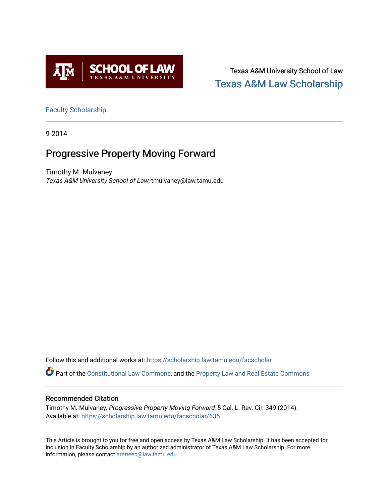

Texas A&M University School of Law [Texas A&M Law Scholarship](https://scholarship.law.tamu.edu/) 

[Faculty Scholarship](https://scholarship.law.tamu.edu/facscholar)

9-2014

# Progressive Property Moving Forward

Timothy M. Mulvaney Texas A&M University School of Law, tmulvaney@law.tamu.edu

Follow this and additional works at: [https://scholarship.law.tamu.edu/facscholar](https://scholarship.law.tamu.edu/facscholar?utm_source=scholarship.law.tamu.edu%2Ffacscholar%2F635&utm_medium=PDF&utm_campaign=PDFCoverPages) 

Part of the [Constitutional Law Commons,](http://network.bepress.com/hgg/discipline/589?utm_source=scholarship.law.tamu.edu%2Ffacscholar%2F635&utm_medium=PDF&utm_campaign=PDFCoverPages) and the [Property Law and Real Estate Commons](http://network.bepress.com/hgg/discipline/897?utm_source=scholarship.law.tamu.edu%2Ffacscholar%2F635&utm_medium=PDF&utm_campaign=PDFCoverPages) 

## Recommended Citation

Timothy M. Mulvaney, Progressive Property Moving Forward, 5 Cal. L. Rev. Cir. 349 (2014). Available at: [https://scholarship.law.tamu.edu/facscholar/635](https://scholarship.law.tamu.edu/facscholar/635?utm_source=scholarship.law.tamu.edu%2Ffacscholar%2F635&utm_medium=PDF&utm_campaign=PDFCoverPages)

This Article is brought to you for free and open access by Texas A&M Law Scholarship. It has been accepted for inclusion in Faculty Scholarship by an authorized administrator of Texas A&M Law Scholarship. For more information, please contact [aretteen@law.tamu.edu](mailto:aretteen@law.tamu.edu).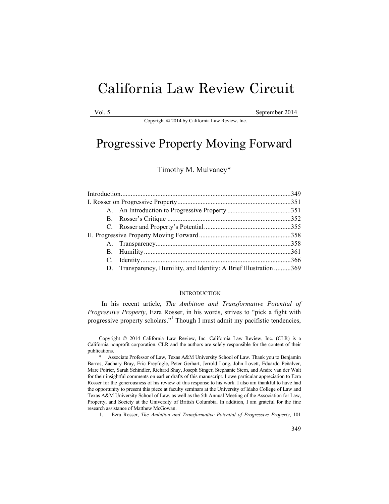# California Law Review Circuit

September 2014

Copyright © 2014 by California Law Review, Inc.

# Progressive Property Moving Forward

Timothy M. Mulvaney\*

|  | D. Transparency, Humility, and Identity: A Brief Illustration 369 |  |
|--|-------------------------------------------------------------------|--|
|  |                                                                   |  |

#### **INTRODUCTION**

In his recent article, *The Ambition and Transformative Potential of Progressive Property*, Ezra Rosser, in his words, strives to "pick a fight with progressive property scholars."<sup>1</sup> Though I must admit my pacifistic tendencies,

Copyright © 2014 California Law Review, Inc. California Law Review, Inc. (CLR) is a California nonprofit corporation. CLR and the authors are solely responsible for the content of their publications.

Associate Professor of Law, Texas A&M University School of Law. Thank you to Benjamin Barros, Zachary Bray, Eric Freyfogle, Peter Gerhart, Jerrold Long, John Lovett, Eduardo Peñalver, Marc Poirier, Sarah Schindler, Richard Shay, Joseph Singer, Stephanie Stern, and Andre van der Walt for their insightful comments on earlier drafts of this manuscript. I owe particular appreciation to Ezra Rosser for the generousness of his review of this response to his work. I also am thankful to have had the opportunity to present this piece at faculty seminars at the University of Idaho College of Law and Texas A&M University School of Law, as well as the 5th Annual Meeting of the Association for Law, Property, and Society at the University of British Columbia. In addition, I am grateful for the fine research assistance of Matthew McGowan.

<sup>1.</sup> Ezra Rosser, *The Ambition and Transformative Potential of Progressive Property*, 101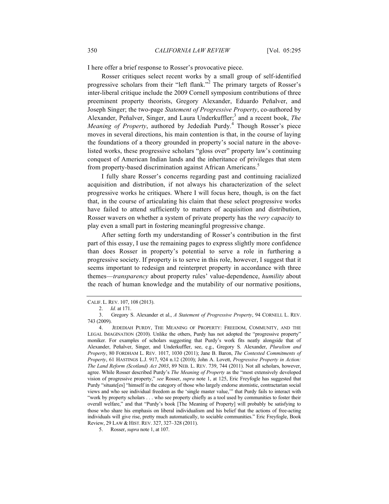I here offer a brief response to Rosser's provocative piece.

Rosser critiques select recent works by a small group of self-identified progressive scholars from their "left flank."<sup>2</sup> The primary targets of Rosser's inter-liberal critique include the 2009 Cornell symposium contributions of three preeminent property theorists, Gregory Alexander, Eduardo Peñalver, and Joseph Singer; the two-page *Statement of Progressive Property*, co-authored by Alexander, Peñalver, Singer, and Laura Underkuffler;<sup>3</sup> and a recent book, *The Meaning of Property*, authored by Jedediah Purdy.<sup>4</sup> Though Rosser's piece moves in several directions, his main contention is that, in the course of laying the foundations of a theory grounded in property's social nature in the abovelisted works, these progressive scholars "gloss over" property law's continuing conquest of American Indian lands and the inheritance of privileges that stem from property-based discrimination against African Americans.<sup>5</sup>

I fully share Rosser's concerns regarding past and continuing racialized acquisition and distribution, if not always his characterization of the select progressive works he critiques. Where I will focus here, though, is on the fact that, in the course of articulating his claim that these select progressive works have failed to attend sufficiently to matters of acquisition and distribution, Rosser wavers on whether a system of private property has the *very capacity* to play even a small part in fostering meaningful progressive change.

After setting forth my understanding of Rosser's contribution in the first part of this essay, I use the remaining pages to express slightly more confidence than does Rosser in property's potential to serve a role in furthering a progressive society. If property is to serve in this role, however, I suggest that it seems important to redesign and reinterpret property in accordance with three themes—*transparency* about property rules' value-dependence, *humility* about the reach of human knowledge and the mutability of our normative positions,

CALIF. L. REV. 107, 108 (2013).

<sup>2.</sup> *Id.* at 171.

<sup>3.</sup> Gregory S. Alexander et al., *A Statement of Progressive Property*, 94 CORNELL L. REV. 743 (2009).

<sup>4.</sup> JEDEDIAH PURDY, THE MEANING OF PROPERTY: FREEDOM, COMMUNITY, AND THE LEGAL IMAGINATION (2010). Unlike the others, Purdy has not adopted the "progressive property" moniker. For examples of scholars suggesting that Purdy's work fits neatly alongside that of Alexander, Peñalver, Singer, and Underkuffler, see, e.g., Gregory S. Alexander, *Pluralism and Property*, 80 FORDHAM L. REV. 1017, 1030 (2011); Jane B. Baron, *The Contested Commitments of Property*, 61 HASTINGS L.J. 917, 924 n.12 (2010); John A. Lovett, *Progressive Property in Action: The Land Reform (Scotland) Act 2003*, 89 NEB. L. REV. 739, 744 (2011). Not all scholars, however, agree. While Rosser described Purdy's *The Meaning of Property* as the "most extensively developed vision of progressive property," *see* Rosser, *supra* note 1, at 125, Eric Freyfogle has suggested that Purdy "situate[es] "himself in the category of those who largely endorse atomistic, contractarian social views and who see individual freedom as the 'single master value,'" that Purdy fails to interact with "work by property scholars . . . who see property chiefly as a tool used by communities to foster their overall welfare," and that "Purdy's book [The Meaning of Property] will probably be satisfying to those who share his emphasis on liberal individualism and his belief that the actions of free-acting individuals will give rise, pretty much automatically, to sociable communities." Eric Freyfogle, Book Review, 29 LAW & HIST. REV. 327, 327–328 (2011).

<sup>5.</sup> Rosser, *supra* note 1, at 107.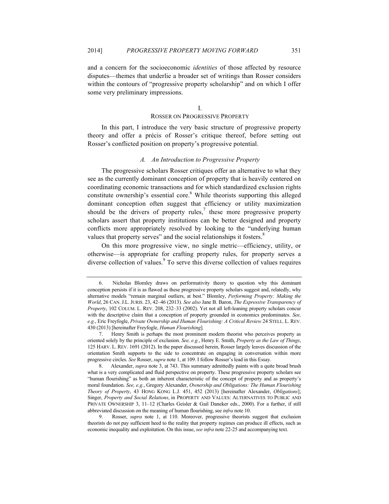and a concern for the socioeconomic *identities* of those affected by resource disputes—themes that underlie a broader set of writings than Rosser considers within the contours of "progressive property scholarship" and on which I offer some very preliminary impressions.

I.

### ROSSER ON PROGRESSIVE PROPERTY

In this part, I introduce the very basic structure of progressive property theory and offer a précis of Rosser's critique thereof, before setting out Rosser's conflicted position on property's progressive potential.

#### *A. An Introduction to Progressive Property*

The progressive scholars Rosser critiques offer an alternative to what they see as the currently dominant conception of property that is heavily centered on coordinating economic transactions and for which standardized exclusion rights constitute ownership's essential core.<sup>6</sup> While theorists supporting this alleged dominant conception often suggest that efficiency or utility maximization should be the drivers of property rules,<sup>7</sup> these more progressive property scholars assert that property institutions can be better designed and property conflicts more appropriately resolved by looking to the "underlying human values that property serves" and the social relationships it fosters.<sup>8</sup>

On this more progressive view, no single metric—efficiency, utility, or otherwise—is appropriate for crafting property rules, for property serves a diverse collection of values.<sup>9</sup> To serve this diverse collection of values requires

<sup>6.</sup> Nicholas Blomley draws on performativity theory to question why this dominant conception persists if it is as flawed as these progressive property scholars suggest and, relatedly, why alternative models "remain marginal outliers, at best." Blomley, *Performing Property: Making the World*, 26 CAN.J.L.JURIS. 23, 42–46 (2013). *See also* Jane B. Baron, *The Expressive Transparency of Property*, 102 COLUM. L. REV. 208, 232–33 (2002). Yet not all left-leaning property scholars concur with the descriptive claim that a conception of property grounded in economics predominates. *See, e.g.*, Eric Freyfogle, *Private Ownership and Human Flourishing: A Critical Review* 24 STELL. L. REV. 430 (2013) [hereinafter Freyfogle, *Human Flourishing*]*.*

<sup>7.</sup> Henry Smith is perhaps the most prominent modern theorist who perceives property as oriented solely by the principle of exclusion. *See, e.g.*, Henry E. Smith, *Property as the Law of Things*, 125 HARV. L. REV. 1691 (2012). In the paper discussed herein, Rosser largely leaves discussion of the orientation Smith supports to the side to concentrate on engaging in conversation within more progressive circles. *See* Rosser, *supra* note 1, at 109. I follow Rosser's lead in this Essay.

<sup>8.</sup> Alexander, *supra* note 3, at 743. This summary admittedly paints with a quite broad brush what is a very complicated and fluid perspective on property. These progressive property scholars see "human flourishing" as both an inherent characteristic of the concept of property and as property's moral foundation. *See, e.g.*, Gregory Alexander, *Ownership and Obligations: The Human Flourishing Theory of Property*, 43 HONG KONG L.J. 451, 452 (2013) [hereinafter Alexander, *Obligations*]; Singer, *Property and Social Relations*, in PROPERTY AND VALUES: ALTERNATIVES TO PUBLIC AND PRIVATE OWNERSHIP 3, 11–12 (Charles Geisler & Gail Daneker eds., 2000). For a further, if still abbreviated discussion on the meaning of human flourishing, see *infra* note 10.

<sup>9.</sup> Rosser, *supra* note 1, at 110. Moreover, progressive theorists suggest that exclusion theorists do not pay sufficient heed to the reality that property regimes can produce ill effects, such as economic inequality and exploitation. On this issue, *see infra* note 22-25 and accompanying text.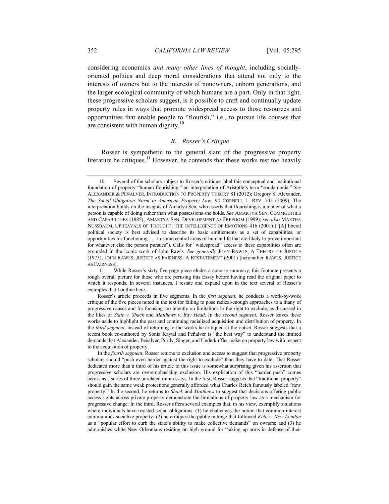considering economics *and many other lines of thought*, including sociallyoriented politics and deep moral considerations that attend not only to the interests of owners but to the interests of nonowners, unborn generations, and the larger ecological community of which humans are a part. Only in that light, these progressive scholars suggest, is it possible to craft and continually update property rules in ways that promote widespread access to those resources and opportunities that enable people to "flourish," i.e., to pursue life courses that are consistent with human dignity.<sup>10</sup>

#### *B. Rosser's Critique*

Rosser is sympathetic to the general slant of the progressive property literature he critiques. $11$  However, he contends that these works rest too heavily

In the *fourth segment*, Rosser returns to exclusion and access to suggest that progressive property scholars should "push even harder against the right to exclude" than they have to date. That Rosser dedicated more than a third of his article to this issue is somewhat surprising given his assertion that progressive scholars are overemphasizing exclusion. His explication of this "harder push" comes across as a series of three unrelated mini-essays. In the first, Rosser suggests that "traditional property" should gain the same weak protections generally afforded what Charles Reich famously labeled "new property." In the second, he returns to *Shack* and *Matthews* to suggest that decisions offering public access rights across private property demonstrate the limitations of property law as a mechanism for progressive change. In the third, Rosser offers several examples that, in his view, exemplify situations where individuals have resisted social obligations: (1) he challenges the notion that common-interest communities socialize property; (2) he critiques the public outrage that followed *Kelo v. New London*  as a "popular effort to curb the state's ability to make collective demands" on owners; and (3) he admonishes white New Orleanians residing on high ground for "taking up arms in defense of their

<sup>10.</sup> Several of the scholars subject to Rosser's critique label this conceptual and institutional foundation of property "human flourishing," an interpretation of Aristotle's term "eaudamonia." *See* ALEXANDER & PEÑALVER, INTRODUCTION TO PROPERTY THEORY 81 (2012); Gregory S. Alexander, *The Social-Obligation Norm in American Property Law*, 94 CORNELL L. REV. 745 (2009). The interpretation builds on the insights of Amartya Sen, who asserts that flourishing is a matter of what a person is capable of doing rather than what possessions she holds. *See* AMARTYA SEN, COMMODITIES AND CAPABILITIES (1985); AMARTYA SEN, DEVELOPMENT AS FREEDOM (1999); *see also* MARTHA NUSSBAUM, UPHEAVALS OF THOUGHT: THE INTELLIGENCE OF EMOTIONS 416 (2001) ("[A] liberal political society is best advised to describe its basic entitlements as a set of capabilities, or opportunities for functioning . . . in some central areas of human life that are likely to prove important for whatever else the person pursues"). Calls for "widespread" access to these capabilities often are grounded in the iconic work of John Rawls. *See generally* JOHN RAWLS, A THEORY OF JUSTICE (1973); JOHN RAWLS, JUSTICE AS FAIRNESS: A RESTATEMENT (2001) [hereinafter RAWLS, JUSTICE AS FAIRNESS].

<sup>11.</sup> While Rosser's sixty-five page piece eludes a concise summary, this footnote presents a rough overall picture for those who are perusing this Essay before having read the original paper to which it responds. In several instances, I restate and expand upon in the text several of Rosser's examples that I outline here.

Rosser's article proceeds in five segments. In the *first segment*, he conducts a work-by-work critique of the five pieces noted in the text for failing to pose radical-enough approaches to a litany of progressive causes and for focusing too intently on limitations to the right to exclude, as discussed in the likes of *State v. Shack* and *Matthews v. Bay Head*. In the *second segment*, Rosser leaves these works aside to highlight the past and continuing racialized acquisition and distribution of property. In the *third segment*, instead of returning to the works he critiqued at the outset, Rosser suggests that a recent book co-authored by Sonia Kaytal and Peñalver is "the best way" to understand the limited demands that Alexander, Peñalver, Purdy, Singer, and Underkuffler make on property law with respect to the acquisition of property.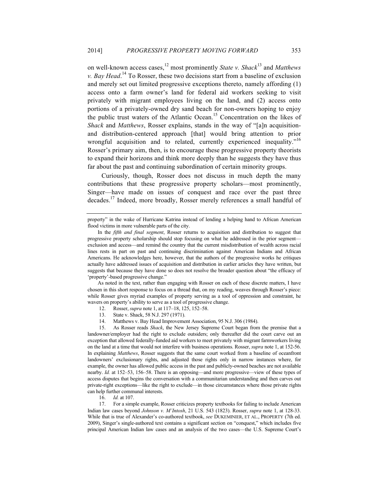on well-known access cases,<sup>12</sup> most prominently *State v. Shack*<sup>13</sup> and *Matthews v. Bay Head.*<sup>14</sup> To Rosser, these two decisions start from a baseline of exclusion and merely set out limited progressive exceptions thereto, namely affording (1) access onto a farm owner's land for federal aid workers seeking to visit privately with migrant employees living on the land, and (2) access onto portions of a privately-owned dry sand beach for non-owners hoping to enjoy the public trust waters of the Atlantic Ocean.<sup>15</sup> Concentration on the likes of *Shack* and *Matthews*, Rosser explains, stands in the way of "[a]n acquisitionand distribution-centered approach [that] would bring attention to prior wrongful acquisition and to related, currently experienced inequality."<sup>16</sup> Rosser's primary aim, then, is to encourage these progressive property theorists to expand their horizons and think more deeply than he suggests they have thus far about the past and continuing subordination of certain minority groups.

Curiously, though, Rosser does not discuss in much depth the many contributions that these progressive property scholars—most prominently, Singer—have made on issues of conquest and race over the past three decades.<sup>17</sup> Indeed, more broadly, Rosser merely references a small handful of

As noted in the text, rather than engaging with Rosser on each of these discrete matters, I have chosen in this short response to focus on a thread that, on my reading, weaves through Rosser's piece: while Rosser gives myriad examples of property serving as a tool of oppression and constraint, he wavers on property's ability to serve as a tool of progressive change.

- 12. Rosser, *supra* note 1, at 117–18, 125, 152–58.
- 13. State v. Shack, 58 N.J. 297 (1971).
- 14. Matthews v. Bay Head Improvement Association, 95 N.J. 306 (1984).

15. As Rosser reads *Shack*, the New Jersey Supreme Court began from the premise that a landowner/employer had the right to exclude outsiders; only thereafter did the court carve out an exception that allowed federally-funded aid workers to meet privately with migrant farmworkers living on the land at a time that would not interfere with business operations. Rosser, *supra* note 1, at 152-56. In explaining *Matthews*, Rosser suggests that the same court worked from a baseline of oceanfront landowners' exclusionary rights, and adjusted those rights only in narrow instances where, for example, the owner has allowed public access in the past and publicly-owned beaches are not available nearby. *Id.* at 152–53, 156–58. There is an opposing—and more progressive—view of these types of access disputes that begins the conversation with a communitarian understanding and then carves out private-right exceptions—like the right to exclude—in those circumstances where those private rights can help further communal interests.

16. *Id.* at 107.

17. For a simple example, Rosser criticizes property textbooks for failing to include American Indian law cases beyond *Johnson v. M'Intosh*, 21 U.S. 543 (1823). Rosser, *supra* note 1, at 128-33. While that is true of Alexander's co-authored textbook, *see* DUKEMINIER, ET AL., PROPERTY (7th ed. 2009), Singer's single-authored text contains a significant section on "conquest," which includes five principal American Indian law cases and an analysis of the two cases—the U.S. Supreme Court's

property" in the wake of Hurricane Katrina instead of lending a helping hand to African American flood victims in more vulnerable parts of the city.

In the *fifth and final segment*, Rosser returns to acquisition and distribution to suggest that progressive property scholarship should stop focusing on what he addressed in the prior segment exclusion and access—and remind the country that the current misdistribution of wealth across racial lines rests in part on past and continuing discrimination against American Indians and African Americans. He acknowledges here, however, that the authors of the progressive works he critiques actually have addressed issues of acquisition and distribution in earlier articles they have written, but suggests that because they have done so does not resolve the broader question about "the efficacy of 'property'-based progressive change."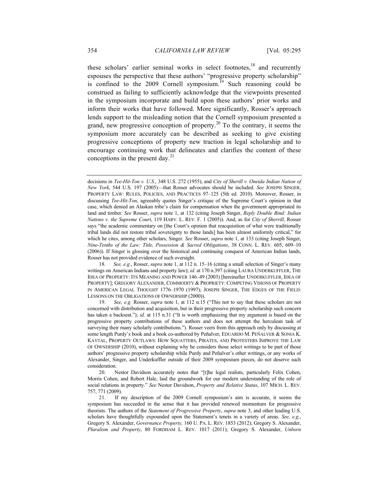these scholars' earlier seminal works in select footnotes, $18$  and recurrently espouses the perspective that these authors' "progressive property scholarship" is confined to the 2009 Cornell symposium.<sup>19</sup> Such reasoning could be construed as failing to sufficiently acknowledge that the viewpoints presented in the symposium incorporate and build upon these authors' prior works and inform their works that have followed. More significantly, Rosser's approach lends support to the misleading notion that the Cornell symposium presented a grand, new progressive conception of property.<sup>20</sup> To the contrary, it seems the symposium more accurately can be described as seeking to give existing progressive conceptions of property new traction in legal scholarship and to encourage continuing work that delineates and clarifies the content of these conceptions in the present day. $^{21}$ 

18. *See, e.g.*, Rosser, *supra* note 1, at 112 n. 15–16 (citing a small selection of Singer's many writings on American Indians and property law); *id.* at 170 n.397 (citing LAURA UNDERKUFFLER, THE IDEA OF PROPERTY: ITS MEANING AND POWER 146–49 (2003) [hereinafter UNDERKUFFLER, IDEA OF PROPERTY]; GREGORY ALEXANDER, COMMODITY & PROPRIETY: COMPETING VISIONS OF PROPERTY IN AMERICAN LEGAL THOUGHT 1776–1970 (1997); JOSEPH SINGER, THE EDGES OF THE FIELD: LESSONS ON THE OBLIGATIONS OF OWNERSHIP (2000)).

19. *See, e.g.* Rosser, *supra* note 1, at 112 n.15 ("This not to say that these scholars are not concerned with distribution and acquisition, but in their progressive property scholarship such concern has taken a backseat."); *id.* at 115 n.31 ("It is worth emphasizing that my argument is based on the progressive property contributions of these authors and does not attempt the herculean task of surveying their many scholarly contributions."). Rosser veers from this approach only by discussing at some length Purdy's book and a book co-authored by Peñalver, EDUARDO M. PEÑALVER & SONIA K. KAYTAL, PROPERTY OUTLAWS: HOW SQUATTERS, PIRATES, AND PROTESTERS IMPROVE THE LAW OF OWNERSHIP (2010), without explaining why he considers those select writings to be part of those authors' progressive property scholarship while Purdy and Peñalver's other writings, or any works of Alexander, Singer, and Underkuffler outside of their 2009 symposium pieces, do not deserve such consideration.

20. Nestor Davidson accurately notes that "[t]he legal realists, particularly Felix Cohen, Morris Cohen, and Robert Hale, laid the groundwork for our modern understanding of the role of social relations in property." *See* Nestor Davidson, *Property and Relative Status*, 107 MICH. L. REV. 757, 771 (2009).

21. If my description of the 2009 Cornell symposium's aim is accurate, it seems the symposium has succeeded in the sense that it has provided renewed momentum for progressive theorists. The authors of the *Statement of Progressive Property*, *supra* note 3, and other leading U.S. scholars have thoughtfully expounded upon the Statement's tenets in a variety of areas. *See, e.g.*, Gregory S. Alexander, *Governance Property,* 160 U. PA. L. REV. 1853 (2012); Gregory S. Alexander, *Pluralism and Property*, 80 FORDHAM L. REV. 1017 (2011); Gregory S. Alexander, *Unborn* 

decisions in *Tee-Hit-Ton v. U.S.*, 348 U.S. 272 (1955), and *City of Sherill v. Oneida Indian Nation of New York*, 544 U.S. 197 (2005)—that Rosser advocates should be included. *See* JOSEPH SINGER, PROPERTY LAW: RULES, POLICIES, AND PRACTICES 97–125 (5th ed. 2010). Moreover, Rosser, in discussing *Tee-Hit-Ton*, agreeably quotes Singer's critique of the Supreme Court's opinion in that case, which denied an Alaskan tribe's claim for compensation when the government appropriated its land and timber. *See* Rosser, *supra* note 1, at 132 (citing Joseph Singer, *Reply Double Bind: Indian Nations v. the Supreme Court*, 119 HARV. L. REV. F. 1 (2005)). And, as for *City of Sherrill*, Rosser says "the academic commentary on [the Court's opinion that reacquisition of what were traditionally tribal lands did not restore tribal sovereignty to those lands] has been almost uniformly critical," for which he cites, among other scholars, Singer. *See* Rosser, *supra* note 1, at 133 (citing Joseph Singer, *Nine-Tenths of the Law: Title, Possession & Sacred Obligations*, 38 CONN. L. REV. 605, 609–10 (2006)). If Singer is glossing over the historical and continuing conquest of American Indian lands, Rosser has not provided evidence of such oversight.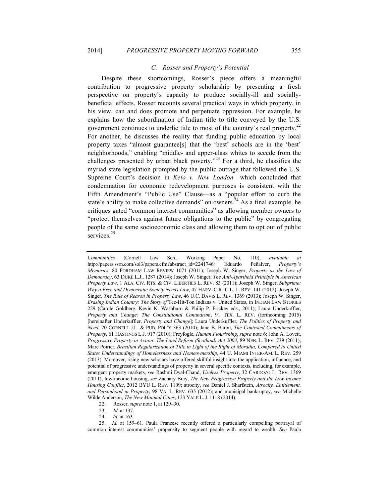### *C. Rosser and Property's Potential*

Despite these shortcomings, Rosser's piece offers a meaningful contribution to progressive property scholarship by presenting a fresh perspective on property's capacity to produce socially-ill and sociallybeneficial effects. Rosser recounts several practical ways in which property, in his view, can and does promote and perpetuate oppression. For example, he explains how the subordination of Indian title to title conveyed by the U.S. government continues to underlie title to most of the country's real property.<sup>22</sup> For another, he discusses the reality that funding public education by local property taxes "almost guarantee[s] that the 'best' schools are in the 'best' neighborhoods," enabling "middle- and upper-class whites to secede from the challenges presented by urban black poverty."<sup>23</sup> For a third, he classifies the myriad state legislation prompted by the public outrage that followed the U.S. Supreme Court's decision in *Kelo v. New London*—which concluded that condemnation for economic redevelopment purposes is consistent with the Fifth Amendment's "Public Use" Clause—as a "popular effort to curb the state's ability to make collective demands" on owners.<sup>24</sup> As a final example, he critiques gated "common interest communities" as allowing member owners to "protect themselves against future obligations to the public" by congregating people of the same socioeconomic class and allowing them to opt out of public services.<sup>25</sup>

*Communities* (Cornell Law Sch., Working Paper No. 110), *available at* http://papers.ssrn.com/sol3/papers.cfm?abstract\_id=2241746*;* Eduardo Peñalver, *Property's Memories*, 80 FORDHAM LAW REVIEW 1071 (2011); Joseph W. Singer, *Property as the Law of Democracy*, 63 DUKE L.J., 1287 (2014); Joseph W. Singer, *The Anti-Apartheid Principle in American Property Law*, 1 ALA. CIV. RTS. & CIV. LIBERTIES L. REV. 83 (2011); Joseph W. Singer, *Subprime: Why a Free and Democratic Society Needs Law*, 47 HARV. C.R.-C.L. L. REV. 141 (2012); Joseph W. Singer, *The Rule of Reason in Property Law*, 46 U.C. DAVIS L. REV. 1369 (2013); Joseph W. Singer, *Erasing Indian Country: The Story of* Tee-Hit-Ton Indians v. United States, in INDIAN LAW STORIES 229 (Carole Goldberg, Kevin K. Washburn & Philip P. Frickey eds., 2011); Laura Underkuffler, *Property and Change: The Constitutional Conundrum*, 91 TEX. L. REV. (forthcoming 2015) [hereinafter Underkuffler, *Property and Change*]; Laura Underkuffler, *The Politics of Property and Need*, 20 CORNELL J.L. & PUB. POL'Y 363 (2010); Jane B. Baron, *The Contested Commitments of Property*, 61 HASTINGS L.J. 917 (2010); Freyfogle, *Human Flourishing*, *supra* note 6; John A. Lovett, *Progressive Property in Action: The Land Reform (Scotland) Act 2003*, 89 NEB. L. REV. 739 (2011); Marc Poirier, *Brazilian Regularization of Title in Light of the Right of Moradia, Compared to United States Understandings of Homelessness and Homeownership*, 44 U. MIAMI INTER-AM. L. REV. 259 (2013). Moreover, rising new scholars have offered skillful insight into the application, influence, and potential of progressive understandings of property in several specific contexts, including, for example, emergent property markets, *see* Rashmi Dyal-Chand, *Useless Property*, 32 CARDOZO L. REV. 1369 (2011); low-income housing, *see* Zachary Bray, *The New Progressive Property and the Low-Income Housing Conflict*, 2012 BYU L. REV. 1109; atrocity, *see* Daniel J. Sharfstein, *Atrocity, Entitlement, and Personhood in Property*, 98 VA. L. REV. 635 (2012); and municipal bankruptcy, *see* Michelle Wilde Anderson, *The New Minimal Cities*, 123 YALE L.J. 1118 (2014).

<sup>22.</sup> Rosser, *supra* note 1, at 129–30.

<sup>23.</sup> *Id.* at 137.

<sup>24.</sup> *Id.* at 163.

<sup>25.</sup> *Id.* at 159–61. Paula Franzese recently offered a particularly compelling portrayal of common interest communities' propensity to segment people with regard to wealth. *See* Paula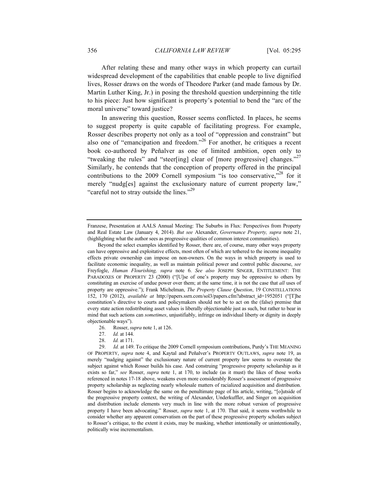After relating these and many other ways in which property can curtail widespread development of the capabilities that enable people to live dignified lives, Rosser draws on the words of Theodore Parker (and made famous by Dr. Martin Luther King, Jr.) in posing the threshold question underpinning the title to his piece: Just how significant is property's potential to bend the "arc of the moral universe" toward justice?

In answering this question, Rosser seems conflicted. In places, he seems to suggest property is quite capable of facilitating progress. For example, Rosser describes property not only as a tool of "oppression and constraint" but also one of "emancipation and freedom."<sup>26</sup> For another, he critiques a recent book co-authored by Peñalver as one of limited ambition, open only to "tweaking the rules" and "steer[ing] clear of [more progressive] changes."<sup>27</sup> Similarly, he contends that the conception of property offered in the principal contributions to the 2009 Cornell symposium "is too conservative, $r^{28}$  for it merely "nudg[es] against the exclusionary nature of current property law," "careful not to stray outside the lines."<sup>29</sup>

26. Rosser, *supra* note 1, at 126.

28. *Id.* at 171.

Franzese, Presentation at AALS Annual Meeting: The Suburbs in Flux: Perspectives from Property and Real Estate Law (January 4, 2014). *But see* Alexander, *Governance Property, supra* note 21, (highlighting what the author sees as progressive qualities of common interest communities).

Beyond the select examples identified by Rosser, there are, of course, many other ways property can have oppressive and exploitative effects, most often of which are tethered to the income inequality effects private ownership can impose on non-owners. On the ways in which property is used to facilitate economic inequality, as well as maintain political power and control public discourse, *see* Freyfogle, *Human Flourishing, supra* note 6. *See also* JOSEPH SINGER, ENTITLEMENT: THE PARADOXES OF PROPERTY 23 (2000) ("[U]se of one's property may be oppressive to others by constituting an exercise of undue power over them; at the same time, it is not the case that *all* uses of property are oppressive."); Frank Michelman, *The Property Clause Question*, 19 CONSTELLATIONS 152, 170 (2012), *available at* http://papers.ssrn.com/sol3/papers.cfm?abstract\_id=1952051 ("[T]he constitution's directive to courts and policymakers should not be to act on the (false) premise that every state action redistributing asset values is liberally objectionable just as such, but rather to bear in mind that such actions can *sometimes*, unjustifiably, infringe on individual liberty or dignity in deeply objectionable ways").

<sup>27.</sup> *Id.* at 144.

<sup>29.</sup> *Id.* at 149. To critique the 2009 Cornell symposium contributions, Purdy's THE MEANING OF PROPERTY, *supra* note 4, and Kaytal and Peñalver's PROPERTY OUTLAWS, *supra* note 19, as merely "nudging against" the exclusionary nature of current property law seems to overstate the subject against which Rosser builds his case. And construing "progressive property scholarship as it exists so far," *see* Rosser, *supra* note 1, at 170, to include (as it must) the likes of those works referenced in notes 17-18 above, weakens even more considerably Rosser's assessment of progressive property scholarship as neglecting nearly wholesale matters of racialized acquisition and distribution. Rosser begins to acknowledge the same on the penultimate page of his article, writing, "[o]utside of the progressive property context, the writing of Alexander, Underkuffler, and Singer on acquisition and distribution include elements very much in line with the more robust version of progressive property I have been advocating." Rosser, *supra* note 1, at 170. That said, it seems worthwhile to consider whether any apparent conservatism on the part of these progressive property scholars subject to Rosser's critique, to the extent it exists, may be masking, whether intentionally or unintentionally, politically wise incrementalism.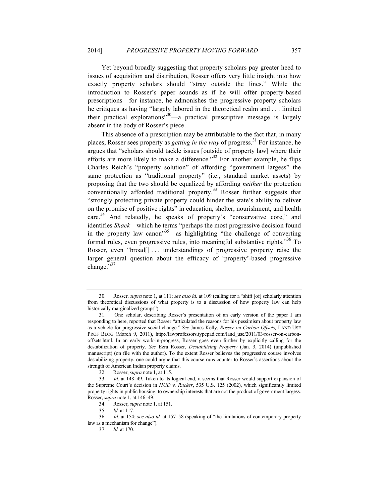Yet beyond broadly suggesting that property scholars pay greater heed to issues of acquisition and distribution, Rosser offers very little insight into how exactly property scholars should "stray outside the lines." While the introduction to Rosser's paper sounds as if he will offer property-based prescriptions—for instance, he admonishes the progressive property scholars he critiques as having "largely labored in the theoretical realm and . . . limited their practical explorations<sup>30</sup>—a practical prescriptive message is largely absent in the body of Rosser's piece.

This absence of a prescription may be attributable to the fact that, in many places, Rosser sees property as *getting in the way* of progress.<sup>31</sup> For instance, he argues that "scholars should tackle issues [outside of property law] where their efforts are more likely to make a difference."<sup>32</sup> For another example, he flips Charles Reich's "property solution" of affording "government largess" the same protection as "traditional property" (i.e., standard market assets) by proposing that the two should be equalized by affording *neither* the protection conventionally afforded traditional property.<sup>33</sup> Rosser further suggests that "strongly protecting private property could hinder the state's ability to deliver on the promise of positive rights" in education, shelter, nourishment, and health care.<sup>34</sup> And relatedly, he speaks of property's "conservative core," and identifies *Shack*—which he terms "perhaps the most progressive decision found in the property law canon<sup>35</sup>—as highlighting "the challenge of converting formal rules, even progressive rules, into meaningful substantive rights."<sup>36</sup> To Rosser, even "broad[]... understandings of progressive property raise the larger general question about the efficacy of 'property'-based progressive change."<sup>37</sup>

<sup>30.</sup> Rosser, *supra* note 1, at 111; *see also id.* at 109 (calling for a "shift [of] scholarly attention from theoretical discussions of what property is to a discussion of how property law can help historically marginalized groups").

<sup>31.</sup> One scholar, describing Rosser's presentation of an early version of the paper I am responding to here, reported that Rosser "articulated the reasons for his pessimism about property law as a vehicle for progressive social change." *See* James Kelly, *Rosser on Carbon Offsets,* LAND USE PROF BLOG (March 9, 2011), http://lawprofessors.typepad.com/land\_use/2011/03/rosser-on-carbonoffsets.html. In an early work-in-progress, Rosser goes even further by explicitly calling for the destabilization of property. *See* Ezra Rosser, *Destabilizing Property* (Jan. 3, 2014) (unpublished manuscript) (on file with the author). To the extent Rosser believes the progressive course involves destabilizing property, one could argue that this course runs counter to Rosser's assertions about the strength of American Indian property claims.

<sup>32.</sup> Rosser, *supra* note 1, at 115.

<sup>33.</sup> *Id.* at 148–49. Taken to its logical end, it seems that Rosser would support expansion of the Supreme Court's decision in *HUD v. Rucker*, 535 U.S. 125 (2002), which significantly limited property rights in public housing, to ownership interests that are not the product of government largess. Rosser, *supra* note 1, at 146–49.

<sup>34.</sup> Rosser, *supra* note 1, at 151.

<sup>35.</sup> *Id.* at 117.

<sup>36.</sup> *Id.* at 154; *see also id.* at 157–58 (speaking of "the limitations of contemporary property law as a mechanism for change").

<sup>37.</sup> *Id.* at 170.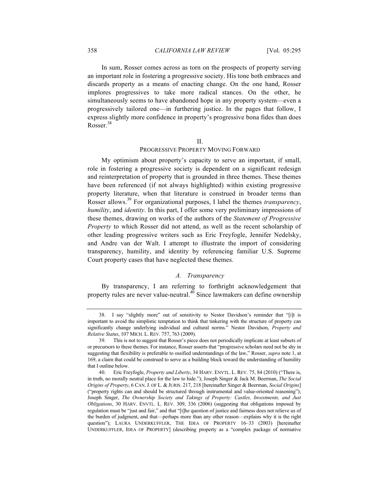In sum, Rosser comes across as torn on the prospects of property serving an important role in fostering a progressive society. His tone both embraces and discards property as a means of enacting change. On the one hand, Rosser implores progressives to take more radical stances. On the other, he simultaneously seems to have abandoned hope in any property system—even a progressively tailored one—in furthering justice. In the pages that follow, I express slightly more confidence in property's progressive bona fides than does Rosser $^{38}$ 

II.

#### PROGRESSIVE PROPERTY MOVING FORWARD

My optimism about property's capacity to serve an important, if small, role in fostering a progressive society is dependent on a significant redesign and reinterpretation of property that is grounded in three themes. These themes have been referenced (if not always highlighted) within existing progressive property literature, when that literature is construed in broader terms than Rosser allows. <sup>39</sup> For organizational purposes, I label the themes *transparency*, *humility*, and *identity*. In this part, I offer some very preliminary impressions of these themes, drawing on works of the authors of the *Statement of Progressive Property* to which Rosser did not attend, as well as the recent scholarship of other leading progressive writers such as Eric Freyfogle, Jennifer Nedelsky, and Andre van der Walt. I attempt to illustrate the import of considering transparency, humility, and identity by referencing familiar U.S. Supreme Court property cases that have neglected these themes.

### *A. Transparency*

By transparency, I am referring to forthright acknowledgement that property rules are never value-neutral. $4\overline{0}$  Since lawmakers can define ownership

<sup>38.</sup> I say "slightly more" out of sensitivity to Nestor Davidson's reminder that "[i]t is important to avoid the simplistic temptation to think that tinkering with the structure of property can significantly change underlying individual and cultural norms." Nestor Davidson, *Property and Relative Status*, 107 MICH. L. REV. 757, 763 (2009).

<sup>39.</sup> This is not to suggest that Rosser's piece does not periodically implicate at least subsets of or precursors to these themes. For instance, Rosser asserts that "progressive scholars need not be shy in suggesting that flexibility is preferable to ossified understandings of the law," Rosser, *supra* note 1, at 169, a claim that could be construed to serve as a building block toward the understanding of humility that I outline below.

<sup>40.</sup> Eric Freyfogle, *Property and Liberty*, 34 HARV. ENVTL. L. REV. 75, 84 (2010) ("There is, in truth, no morally neutral place for the law to hide."); Joseph Singer & Jack M. Beerman, *The Social Origins of Property*, 6 CAN.J. OF L. & JURIS. 217, 218 [hereinafter Singer & Beerman, *Social Origins*] ("property rights can and should be structured through instrumental and value-oriented reasoning"); Joseph Singer, *The Ownership Society and Takings of Property: Castles, Investments, and Just Obligations*, 30 HARV. ENVTL. L. REV. 309, 336 (2006) (suggesting that obligations imposed by regulation must be "just and fair," and that "[t]he question of justice and fairness does not relieve us of the burden of judgment, and that—perhaps more than any other reason—explains why it is the right question"); LAURA UNDERKUFFLER, THE IDEA OF PROPERTY 16–33 (2003) [hereinafter UNDERKUFFLER, IDEA OF PROPERTY] (describing property as a "complex package of normative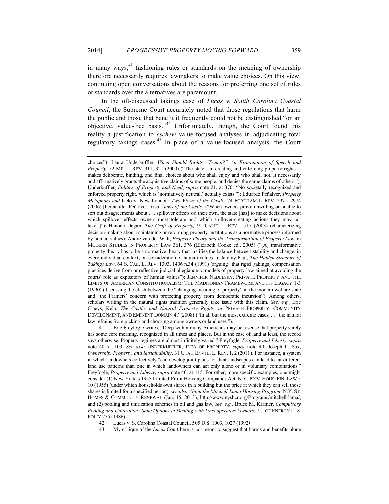in many ways, $41$  fashioning rules or standards on the meaning of ownership therefore necessarily requires lawmakers to make value choices. On this view, continuing open conversations about the reasons for preferring one set of rules or standards over the alternatives are paramount.

In the oft-discussed takings case of *Lucas v. South Carolina Coastal Council*, the Supreme Court accurately noted that those regulations that harm the public and those that benefit it frequently could not be distinguished "on an objective, value-free basis."<sup>42</sup> Unfortunately, though, the Court found this reality a justification to *eschew* value-focused analyses in adjudicating total regulatory takings cases.<sup>43</sup> In place of a value-focused analysis, the Court

41. Eric Freyfogle writes, "Deep within many Americans may be a sense that property surely has some core meaning, recognized in all times and places. But in the case of land at least, the record says otherwise. Property regimes are almost infinitely varied." Freyfogle, *Property and Liberty*, *supra* note 40, at 103. *See also* UNDERKUFFLER, IDEA OF PROPERTY, *supra* note 40; Joseph L. Sax, *Ownership, Property, and Sustainability*, 31 UTAH ENVTL. L. REV. 1, 2 (2011). For instance, a system in which landowners collectively "can develop joint plans for their landscapes can lead to far different land use patterns than one in which landowners can act only alone or in voluntary combinations." Freyfogle, *Property and Liberty*, *supra* note 40, at 115. For other, more specific examples, one might consider (1) New York's 1955 Limited-Profit Housing Companies Act, N.Y. PRIV. HOUS. FIN. LAW § 10 (1955) (under which households own shares in a building but the price at which they can sell those shares is limited for a specified period), *see also About the Mitchell-Lama Housing Program*, N.Y. ST. HOMES & COMMUNITY RENEWAL (Jan. 15, 2013), http://www.nyshcr.org/Programs/mitchell-lama/, and (2) pooling and unitization schemes in oil and gas law, *see, e.g.,* Bruce M. Kramer, *Compulsory Pooling and Unitization: State Options in Dealing with Uncooperative Owners*, 7 J. OF ENERGY L. & POL'Y 255 (1986).

42. Lucas v. S. Carolina Coastal Council, 505 U.S. 1003, 1027 (1992*)*.

43. My critique of the *Lucas* Court here is not meant to suggest that harms and benefits alone

choices"); Laura Underkuffler, *When Should Rights "Trump?" An Examination of Speech and Property*, 52 ME. L. REV. 311, 321 (2000) ("The state—in creating and enforcing property rights makes deliberate, binding, and final choices about who shall enjoy and who shall not. It necessarily and affirmatively grants the acquisitive claims of some people, and denies the same claims of others."); Underkuffler, *Politics of Property and Need*, *supra* note 21, at 370 ("No societally recognized and enforced property right, which is 'normatively neutral,' actually exists."); Eduardo Peñalver, *Property Metaphors and* Kelo v. New London*: Two Views of the Castle*, 74 FORDHAM L. REV. 2971, 2974 (2006) [hereinafter Peñalver, *Two Views of the Castle*] ("When owners prove unwilling or unable to sort out disagreements about . . . spillover effects on their own, the state [has] to make decisions about which spillover effects owners must tolerate and which spillover-creating actions they may not take[.]"); Hanoch Dagan, *The Craft of Property,* 91 CALIF. L. REV. 1517 (2003) (characterizing decision-making about maintaining or reforming property institutions as a normative process informed by human values); André van der Walt, *Property Theory and the Transformation of Property Law*, in MODERN STUDIES IN PROPERTY LAW 361, 376 (Elizabeth Cooke ed., 2005) ("[A] transformative property theory has to be a normative theory that justifies the balance between stability and change, in every individual context, on consideration of human values."); Jeremy Paul, *The Hidden Structure of Takings Law*, 64 S. CAL. L. REV. 1393, 1406 n.34 (1991) (arguing "that rigid [takings] compensation practices derive from unreflective judicial allegiance to models of property law aimed at avoiding the courts' role as expositors of human values"); JENNIFER NEDELSKY, PRIVATE PROPERTY AND THE LIMITS OF AMERICAN CONSTITUTIONALISM: THE MADISONIAN FRAMEWORK AND ITS LEGACY 1-3 (1990) (discussing the clash between the "changing meaning of property" in the modern welfare state and "the Framers' concern with protecting property from democratic incursion"). Among others, scholars writing in the natural rights tradition generally take issue with this claim. *See, e.g.,* Eric Claeys, Kelo, *The Castle, and Natural Property Rights, in* PRIVATE PROPERTY, COMMUNITY DEVELOPMENT, AND EMINENT DOMAIN 47 (2008) ("In all but the most extreme cases, . . . the natural law refrains from picking and choosing among owners or land uses.").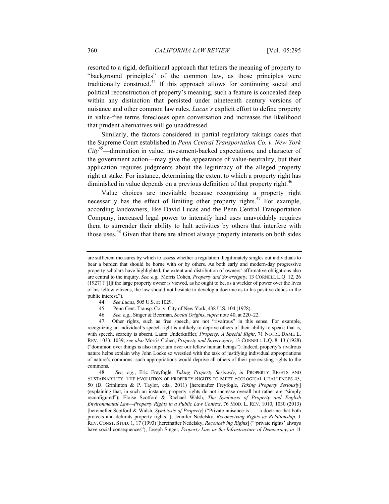resorted to a rigid, definitional approach that tethers the meaning of property to "background principles" of the common law, as those principles were traditionally construed.<sup>44</sup> If this approach allows for continuing social and political reconstruction of property's meaning, such a feature is concealed deep within any distinction that persisted under nineteenth century versions of nuisance and other common law rules. *Lucas's* explicit effort to define property in value-free terms forecloses open conversation and increases the likelihood that prudent alternatives will go unaddressed.

Similarly, the factors considered in partial regulatory takings cases that the Supreme Court established in *Penn Central Transportation Co. v. New York City*45—diminution in value, investment-backed expectations, and character of the government action—may give the appearance of value-neutrality, but their application requires judgments about the legitimacy of the alleged property right at stake. For instance, determining the extent to which a property right has diminished in value depends on a previous definition of that property right.<sup>46</sup>

Value choices are inevitable because recognizing a property right necessarily has the effect of limiting other property rights. $47$  For example, according landowners, like David Lucas and the Penn Central Transportation Company, increased legal power to intensify land uses unavoidably requires them to surrender their ability to halt activities by others that interfere with those uses.<sup>48</sup> Given that there are almost always property interests on both sides

- 44. *See Lucas*, 505 U.S. at 1029.
- 45. Penn Cent. Transp. Co. v. City of New York, 438 U.S. 104 (1978).
- 46. *See, e.g.*, Singer & Beerman, *Social Origins*, *supra* note 40, at 220–22.

47. Other rights, such as free speech, are not "rivalrous" in this sense. For example, recognizing an individual's speech right is unlikely to deprive others of their ability to speak; that is, with speech, scarcity is absent. Laura Underkuffler, *Property: A Special Right*, 71 NOTRE DAME L. REV. 1033, 1039; *see also* Morris Cohen, *Property and Sovereignty*, 13 CORNELL L.Q. 8, 13 (1928) ("dominion over things is also imperium over our fellow human beings"). Indeed, property's rivalrous nature helps explain why John Locke so wrestled with the task of justifying individual appropriations of nature's commons: such appropriations would deprive all others of their pre-existing rights to the commons.

48. *See, e.g.*, Eric Freyfogle, *Taking Property Seriously*, *in* PROPERTY RIGHTS AND SUSTAINABILITY: THE EVOLUTION OF PROPERTY RIGHTS TO MEET ECOLOGICAL CHALLENGES 43, 50 (D. Grinlinton & P. Taylor, eds., 2011) [hereinafter Freyfogle, *Taking Property Seriously*] (explaining that, in such an instance, property rights do not increase overall but rather are "simply reconfigured"); Eloise Scotford & Rachael Walsh, *The Symbiosis of Property and English Environmental Law—Property Rights in a Public Law Context*, 76 MOD. L. REV. 1010, 1030 (2013) [hereinafter Scotford & Walsh, *Symbiosis of Property*] ("Private nuisance is . . . a doctrine that both protects and delimits property rights."); Jennifer Nedelsky, *Reconceiving Rights as Relationship*, 1 REV. CONST. STUD. 1, 17 (1993) [hereinafter Nedelsky, *Reconceiving Rights*] ("'private rights' always have social consequences"); Joseph Singer, *Property Law as the Infrastructure of Democracy*, *in* 11

are sufficient measures by which to assess whether a regulation illegitimately singles out individuals to bear a burden that should be borne with or by others. As both early and modern-day progressive property scholars have highlighted, the extent and distribution of owners' affirmative obligations also are central to the inquiry. *See, e.g.,* Morris Cohen, *Property and Sovereignty,* 13 CORNELL L.Q. 12, 26 (1927) ("[I]f the large property owner is viewed, as he ought to be, as a wielder of power over the lives of his fellow citizens, the law should not hesitate to develop a doctrine as to his positive duties in the public interest.").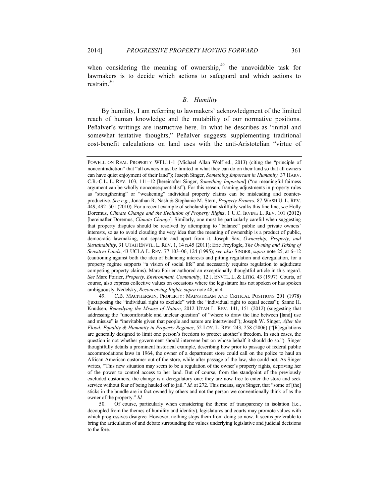when considering the meaning of ownership, $49$  the unavoidable task for lawmakers is to decide which actions to safeguard and which actions to restrain $^{50}$ 

#### *B. Humility*

By humility, I am referring to lawmakers' acknowledgment of the limited reach of human knowledge and the mutability of our normative positions. Peñalver's writings are instructive here. In what he describes as "initial and somewhat tentative thoughts," Peñalver suggests supplementing traditional cost-benefit calculations on land uses with the anti-Aristotelian "virtue of

49. C.B. MACPHERSON, PROPERTY: MAINSTREAM AND CRITICAL POSITIONS 201 (1978) (juxtaposing the "individual right to exclude" with the "individual right to equal access"); Sanne H. Knudsen, *Remedying the Misuse of Nature*, 2012 UTAH L. REV. 141, 151 (2012) (suggesting that addressing the "uncomfortable and unclear question" of "where to draw the line between [land] use and misuse" is "inevitable given that people and nature are intertwined"); Joseph W. Singer*, After the Flood: Equality & Humanity in Property Regimes*, 52 LOY. L. REV. 243, 258 (2006) ("[R]egulations are generally designed to limit one person's freedom to protect another's freedom. In such cases, the question is not whether government should intervene but on whose behalf it should do so."). Singer thoughtfully details a prominent historical example, describing how prior to passage of federal public accommodations laws in 1964, the owner of a department store could call on the police to haul an African American customer out of the store, while after passage of the law, she could not. As Singer writes, "This new situation may seem to be a regulation of the owner's property rights, depriving her of the power to control access to her land. But of course, from the standpoint of the previously excluded customers, the change is a deregulatory one: they are now free to enter the store and seek service without fear of being hauled off to jail." *Id.* at 272. This means, says Singer, that "some of [the] sticks in the bundle are in fact owned by others and not the person we conventionally think of as the owner of the property." *Id.*

50. Of course, particularly when considering the theme of transparency in isolation (i.e., decoupled from the themes of humility and identity), legislatures and courts may promote values with which progressives disagree. However, nothing stops them from doing so now. It seems preferable to bring the articulation of and debate surrounding the values underlying legislative and judicial decisions to the fore.

POWELL ON REAL PROPERTY WFL11-1 (Michael Allan Wolf ed., 2013) (citing the "principle of noncontradiction" that "all owners must be limited in what they can do on their land so that all owners can have quiet enjoyment of their land"); Joseph Singer, *Something Important in Humanity,* 37 HARV. C.R.-C.L. L. REV. 103, 111–12 [hereinafter Singer, *Something Important*] ("no meaningful fairness argument can be wholly nonconsequentialist"). For this reason, framing adjustments in property rules as "strengthening" or "weakening" individual property claims can be misleading and counterproductive. *See e.g.*, Jonathan R. Nash & Stephanie M. Stern, *Property Frames*, 87 WASH U. L. REV. 449, 492–501 (2010). For a recent example of scholarship that skillfully walks this fine line, *see* Holly Doremus, *Climate Change and the Evolution of Property Rights*, 1 U.C. IRVINE L. REV. 101 (2012) [hereinafter Doremus, *Climate Change*]. Similarly, one must be particularly careful when suggesting that property disputes should be resolved by attempting to "balance" public and private owners' interests, so as to avoid clouding the very idea that the meaning of ownership is a product of public, democratic lawmaking, not separate and apart from it. Joseph Sax, *Ownership, Property, and Sustainability*, 31 UTAH ENVTL. L. REV. 1, 14 n.45 (2011); Eric Freyfogle, *The Owning and Taking of Sensitive Lands*, 43 UCLA L. REV. 77 103–06, 124 (1995); *see also* SINGER, *supra* note 25, at 6–12 (cautioning against both the idea of balancing interests and pitting regulation and deregulation, for a property regime supports "a vision of social life" and necessarily requires regulation to adjudicate competing property claims). Marc Poirier authored an exceptionally thoughtful article in this regard. *See* Marc Poirier, *Property, Environment, Community*, 12 J. ENVTL. L. & LITIG. 43 (1997). Courts, of course, also express collective values on occasions where the legislature has not spoken or has spoken ambiguously. Nedelsky, *Reconceiving Rights, supra* note 48, at 4.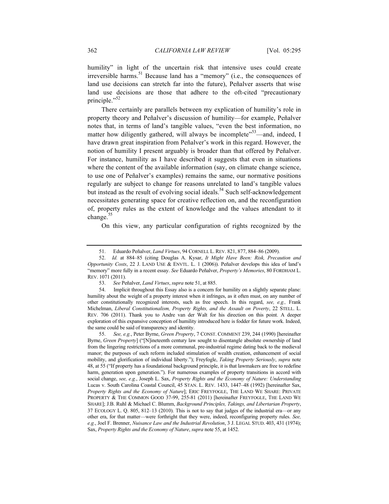humility" in light of the uncertain risk that intensive uses could create irreversible harms.<sup>51</sup> Because land has a "memory" (i.e., the consequences of land use decisions can stretch far into the future), Peñalver asserts that wise land use decisions are those that adhere to the oft-cited "precautionary principle."<sup>52</sup>

There certainly are parallels between my explication of humility's role in property theory and Peñalver's discussion of humility—for example, Peñalver notes that, in terms of land's tangible values, "even the best information, no matter how diligently gathered, will always be incomplete<sup>"53</sup>—and, indeed, I have drawn great inspiration from Peñalver's work in this regard. However, the notion of humility I present arguably is broader than that offered by Peñalver. For instance, humility as I have described it suggests that even in situations where the content of the available information (say, on climate change science, to use one of Peñalver's examples) remains the same, our normative positions regularly are subject to change for reasons unrelated to land's tangible values but instead as the result of evolving social ideals.<sup>54</sup> Such self-acknowledgement necessitates generating space for creative reflection on, and the reconfiguration of, property rules as the extent of knowledge and the values attendant to it change. $55$ 

On this view, any particular configuration of rights recognized by the

55. *See, e.g.*, Peter Byrne, *Green Property*, 7 CONST. COMMENT 239, 244 (1990) [hereinafter Byrne, *Green Property*] ("[N]ineteenth century law sought to disentangle absolute ownership of land from the lingering restrictions of a more communal, pre-industrial regime dating back to the medieval manor; the purposes of such reform included stimulation of wealth creation, enhancement of social mobility, and glorification of individual liberty."); Freyfogle, *Taking Property Seriously*, *supra* note 48, at 55 ("If property has a foundational background principle, it is that lawmakers are free to redefine harm, generation upon generation."). For numerous examples of property transitions in accord with social change, *see, e.g.*, Joseph L. Sax, *Property Rights and the Economy of Nature: Understanding*  Lucas v. South Carolina Coastal Council, 45 STAN. L. REV. 1433, 1447–48 (1992) [hereinafter Sax, *Property Rights and the Economy of Nature*]; ERIC FREYFOGLE, THE LAND WE SHARE: PRIVATE PROPERTY & THE COMMON GOOD 37-99, 255-81 (2011) [hereinafter FREYFOGLE, THE LAND WE SHARE]; J.B. Ruhl & Michael C. Blumm, *Background Principles, Takings, and Libertarian Property*, 37 ECOLOGY L. Q. 805, 812–13 (2010). This is not to say that judges of the industrial era—or any other era, for that matter—were forthright that they were, indeed, reconfiguring property rules. *See, e.g.*, Joel F. Brenner, *Nuisance Law and the Industrial Revolution*, 3 J. LEGAL STUD. 403, 431 (1974); Sax, *Property Rights and the Economy of Nature*, *supra* note 55, at 1452.

<sup>51.</sup> Eduardo Peñalver, *Land Virtues*, 94 CORNELL L. REV. 821, 877, 884–86 (2009).

<sup>52.</sup> *Id.* at 884–85 (citing Douglas A. Kysar, *It Might Have Been: Risk, Precaution and Opportunity Costs*, 22 J. LAND USE & ENVTL. L. 1 (2006)). Peñalver develops this idea of land's "memory" more fully in a recent essay. *See* Eduardo Peñalver, *Property's Memories*, 80 FORDHAM L. REV. 1071 (2011).

<sup>53.</sup> *See* Peñalver, *Land Virtues*, *supra* note 51, at 885.

<sup>54.</sup> Implicit throughout this Essay also is a concern for humility on a slightly separate plane: humility about the weight of a property interest when it infringes, as it often must, on any number of other constitutionally recognized interests, such as free speech. In this regard, *see, e.g.,* Frank Michelman, *Liberal Constitutionalism, Property Rights, and the Assault on Poverty*, 22 STELL. L. REV. 706 (2011). Thank you to Andre van der Walt for his direction on this point. A deeper exploration of this expansive conception of humility introduced here is fodder for future work. Indeed, the same could be said of transparency and identity.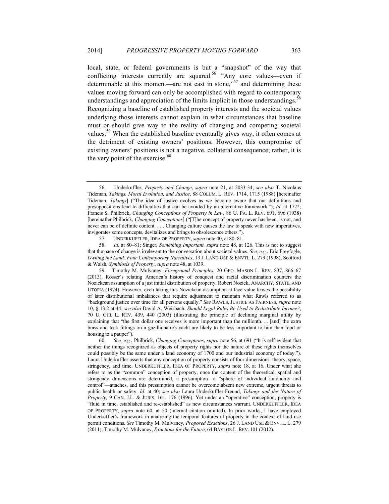#### 2014] *PROGRESSIVE PROPERTY MOVING FORWARD* 363

local, state, or federal governments is but a "snapshot" of the way that conflicting interests currently are squared.<sup>56</sup> "Any core values—even if determinable at this moment—are not cast in stone, $\frac{1}{57}$  and determining these values moving forward can only be accomplished with regard to contemporary understandings and appreciation of the limits implicit in those understandings.<sup>58</sup> Recognizing a baseline of established property interests and the societal values underlying those interests cannot explain in what circumstances that baseline must or should give way to the reality of changing and competing societal values.<sup>59</sup> When the established baseline eventually gives way, it often comes at the detriment of existing owners' positions. However, this compromise of existing owners' positions is not a negative, collateral consequence; rather, it is the very point of the exercise. $60$ 

57. UNDERKUFFLER, IDEA OF PROPERTY, *supra* note 40, at 80–81.

58. *Id.* at 80–81; Singer, *Something Important, supra* note 48, at 126. This is not to suggest that the pace of change is irrelevant to the conversation about societal values. *See, e.g.*, Eric Freyfogle, *Owning the Land: Four Contemporary Narratives*, 13 J. LAND USE & ENVTL. L. 279 (1998); Scotford & Walsh, *Symbiosis of Property*, *supra* note 48, at 1039.

59. Timothy M. Mulvaney, *Foreground Principles*, 20 GEO. MASON L. REV. 837, 866–67 (2013). Rosser's relating America's history of conquest and racial discrimination counters the Nozickean assumption of a just initial distribution of property. Robert Nozick, ANARCHY, STATE, AND UTOPIA (1974). However, even taking this Nozickean assumption at face value leaves the possibility of later distributional imbalances that require adjustment to maintain what Rawls referred to as "background justice over time for all persons equally." *See* RAWLS, JUSTICE AS FAIRNESS, *supra* note 10, § 13.2 at 44; *see also* David A. Weisbach, *Should Legal Rules Be Used to Redistribute Income?*, 70 U. CHI. L. REV. 439, 440 (2003) (illustrating the principle of declining marginal utility by explaining that "the first dollar one receives is more important than the millionth. ... [and] the extra brass and teak fittings on a gazillionaire's yacht are likely to be less important to him than food or housing to a pauper").

60. *See, e.g.*, Philbrick, *Changing Conceptions*, *supra* note 56, at 691 ("It is self-evident that neither the things recognized as objects of property rights nor the nature of these rights themselves could possibly be the same under a land economy of 1700 and our industrial economy of today."). Laura Underkuffler asserts that any conception of property consists of four dimensions: theory, space, stringency, and time. UNDERKUFFLER, IDEA OF PROPERTY, *supra* note 18, at 16. Under what she refers to as the "common" conception of property, once the content of the theoretical, spatial and stringency dimensions are determined, a presumption—a "sphere of individual autonomy and control"—attaches, and this presumption cannot be overcome absent new extreme, urgent threats to public health or safety. *Id.* at 40; *see also* Laura Underkuffler-Freund, *Takings and the Nature of Property,* 9 CAN. J.L. & JURIS. 161, 176 (1996). Yet under an "operative" conception, property is "fluid in time, established and re-established" as new circumstances warrant*.* UNDERKUFFLER, IDEA OF PROPERTY, *supra* note 60, at 50 (internal citation omitted). In prior works, I have employed Underkuffler's framework in analyzing the temporal features of property in the context of land use permit conditions. *See* Timothy M. Mulvaney, *Proposed Exactions*, 26 J. LAND USE & ENVTL. L. 279 (2011); Timothy M. Mulvaney, *Exactions for the Future*, 64 BAYLOR L. REV. 101 (2012).

<sup>56.</sup> Underkuffler, *Property and Change*, *supra* note 21, at 2033-34; *see also* T. Nicolaus Tideman, *Takings, Moral Evolution, and Justice*, 88 COLUM. L. REV. 1714, 1715 (1988) [hereinafter Tideman, *Takings*] ("The idea of justice evolves as we become aware that our definitions and presuppositions lead to difficulties that can be avoided by an alternative framework."); *Id.* at 1722; Francis S. Philbrick, *Changing Conceptions of Property in Law*, 86 U. PA. L. REV. 691, 696 (1938) [hereinafter Philbrick, *Changing Conceptions*] ("[T]he concept of property never has been, is not, and never can be of definite content. . . . Changing culture causes the law to speak with new imperatives, invigorates some concepts, devitalizes and brings to obsolescence others.").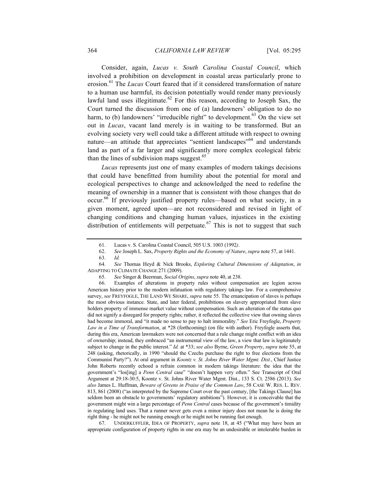Consider, again, *Lucas v. South Carolina Coastal Council*, which involved a prohibition on development in coastal areas particularly prone to erosion.<sup>61</sup> The *Lucas* Court feared that if it considered transformation of nature to a human use harmful, its decision potentially would render many previously lawful land uses illegitimate.<sup>62</sup> For this reason, according to Joseph Sax, the Court turned the discussion from one of (a) landowners' obligation to do no harm, to (b) landowners' "irreducible right" to development.<sup>63</sup> On the view set out in *Lucas*, vacant land merely is in waiting to be transformed. But an evolving society very well could take a different attitude with respect to owning nature—an attitude that appreciates "sentient landscapes"<sup>64</sup> and understands land as part of a far larger and significantly more complex ecological fabric than the lines of subdivision maps suggest. $65$ 

*Lucas* represents just one of many examples of modern takings decisions that could have benefitted from humility about the potential for moral and ecological perspectives to change and acknowledged the need to redefine the meaning of ownership in a manner that is consistent with those changes that do occur. <sup>66</sup> If previously justified property rules—based on what society, in a given moment, agreed upon—are not reconsidered and revised in light of changing conditions and changing human values, injustices in the existing distribution of entitlements will perpetuate.<sup>67</sup> This is not to suggest that such

64. *See* Thomas Heyd & Nick Brooks, *Exploring Cultural Dimensions of Adaptation*, *in* ADAPTING TO CLIMATE CHANGE 271 (2009).

65. *See* Singer & Beerman, *Social Origins*, *supra* note 40, at 238.

66. Examples of alterations in property rules without compensation are legion across American history prior to the modern infatuation with regulatory takings law. For a comprehensive survey, *see* FREYFOGLE, THE LAND WE SHARE, *supra* note 55. The emancipation of slaves is perhaps the most obvious instance. State, and later federal, prohibitions on slavery appropriated from slave holders property of immense market value without compensation. Such an alteration of the status quo did not signify a disregard for property rights; rather, it reflected the collective view that owning slaves had become immoral, and "it made no sense to pay to halt immorality." *See* Eric Freyfogle, *Property Law in a Time of Transformation*, at \*28 (forthcoming) (on file with author). Freyfogle asserts that, during this era, American lawmakers were not concerned that a rule change might conflict with an idea of ownership; instead, they embraced "an instrumental view of the law, a view that law is legitimately subject to change in the public interest." *Id.* at \*33; *see also* Byrne, *Green Property*, *supra* note 55, at 248 (asking, rhetorically, in 1990 "should the Czechs purchase the right to free elections from the Communist Party?"). At oral argument in *Koontz v. St. Johns River Water Mgmt. Dist.*, Chief Justice John Roberts recently echoed a refrain common in modern takings literature: the idea that the government's "los[ing] a *Penn Central* case" "doesn't happen very often." See Transcript of Oral Argument at 29:18-30:5, Koontz v. St. Johns River Water Mgmt. Dist*.*, 133 S. Ct. 2586 (2013). *See also* James L. Huffman, *Beware of Greens in Praise of the Common Law*, 58 CASE W. RES. L. REV. 813, 861 (2008) ("as interpreted by the Supreme Court over the past century, [the Takings Clause] has seldom been an obstacle to governments' regulatory ambitions"). However, it is conceivable that the government might win a large percentage of *Penn Central* cases because of the government's timidity in regulating land uses. That a runner never gets even a minor injury does not mean he is doing the right thing - he might not be running enough or he might not be running fast enough.

67. UNDERKUFFLER, IDEA OF PROPERTY, *supra* note 18, at 45 ("What may have been an appropriate configuration of property rights in one era may be an undesirable or intolerable burden in

<sup>61.</sup> Lucas v. S. Carolina Coastal Council, 505 U.S. 1003 (1992*)*.

<sup>62.</sup> *See* Joseph L. Sax, *Property Rights and the Economy of Nature*, *supra* note 57, at 1441.

<sup>63.</sup> *Id.*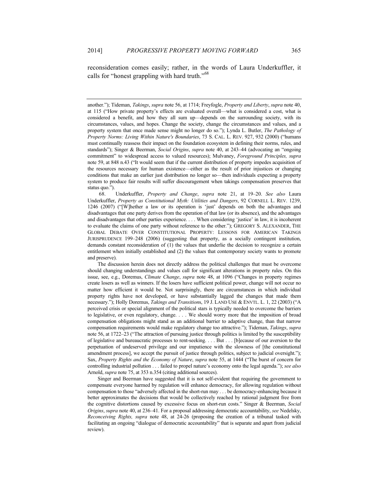reconsideration comes easily; rather, in the words of Laura Underkuffler, it calls for "honest grappling with hard truth."<sup>68</sup>

another."); Tideman, *Takings*, *supra* note 56, at 1714; Freyfogle, *Property and Liberty*, *supra* note 40, at 115 ("How private property's effects are evaluated overall—what is considered a cost, what is considered a benefit, and how they all sum up—depends on the surrounding society, with its circumstances, values, and hopes. Change the society, change the circumstances and values, and a property system that once made sense might no longer do so."); Lynda L. Butler, *The Pathology of Property Norms: Living Within Nature's Boundaries*, 73 S. CAL. L. REV. 927, 932 (2000) ("humans must continually reassess their impact on the foundation ecosystem in defining their norms, rules, and standards"); Singer & Beerman, *Social Origins*, *supra* note 40, at 243–44 (advocating an "ongoing commitment" to widespread access to valued resources); Mulvaney, *Foreground Principles, supra* note 59, at 848 n.43 ("It would seem that if the current distribution of property impedes acquisition of the resources necessary for human existence—either as the result of prior injustices or changing conditions that make an earlier just distribution no longer so—then individuals expecting a property system to produce fair results will suffer discouragement when takings compensation preserves that status quo.").

68. Underkuffler, *Property and Change*, *supra* note 21, at 19–20. *See also* Laura Underkuffler, *Property as Constitutional Myth: Utilities and Dangers*, 92 CORNELL L. REV. 1239, 1246 (2007) ("[W]hether a law or its operation is 'just' depends on both the advantages and disadvantages that one party derives from the operation of that law (or its absence), and the advantages and disadvantages that other parties experience. . . . When considering 'justice' in law, it is incoherent to evaluate the claims of one party without reference to the other."); GREGORY S. ALEXANDER, THE GLOBAL DEBATE OVER CONSTITUTIONAL PROPERTY: LESSONS FOR AMERICAN TAKINGS JURISPRUDENCE 199–248 (2006) (suggesting that property, as a socially contingent institution, demands constant reconsideration of (1) the values that underlie the decision to recognize a certain entitlement when initially established and (2) the values that contemporary society wants to promote and preserve).

The discussion herein does not directly address the political challenges that must be overcome should changing understandings and values call for significant alterations in property rules. On this issue, see, e.g., Doremus, *Climate Change*, *supra* note 48, at 1096 ("Changes in property regimes create losers as well as winners. If the losers have sufficient political power, change will not occur no matter how efficient it would be. Not surprisingly, there are circumstances in which individual property rights have not developed, or have substantially lagged the changes that made them necessary."); Holly Doremus, *Takings and Transition*s, 19 J. LAND USE & ENVTL. L. 1, 22 (2003) ("A perceived crisis or special alignment of the political stars is typically needed to overcome the barriers to legislative, or even regulatory, change. . . . We should worry more that the imposition of broad compensation obligations might stand as an additional barrier to adaptive change, than that narrow compensation requirements would make regulatory change too attractive."); Tideman, *Takings*, *supra* note 56, at 1722–23 ("The attraction of pursuing justice through politics is limited by the susceptibility of legislative and bureaucratic processes to rent-seeking. . . . But . . . [b]ecause of our aversion to the perpetuation of undeserved privilege and our impatience with the slowness of [the constitutional amendment process], we accept the pursuit of justice through politics, subject to judicial oversight."); Sax, *Property Rights and the Economy of Nature*, *supra* note 55, at 1444 ("The burst of concern for controlling industrial pollution . . . failed to propel nature's economy onto the legal agenda."); *see also* Arnold, *supra* note 75, at 353 n.354 (citing additional sources).

Singer and Beerman have suggested that it is not self-evident that requiring the government to compensate everyone harmed by regulation will enhance democracy, for allowing regulation without compensation to those "adversely affected in the short-run may . . . be democracy-enhancing because it better approximates the decisions that would be collectively reached by rational judgment free from the cognitive distortions caused by excessive focus on short-run costs." Singer & Beerman, *Social Origins*, *supra* note 40, at 236–41. For a proposal addressing democratic accountability, *see* Nedelsky, *Reconceiving Rights, supra* note 48, at 24-26 (proposing the creation of a tribunal tasked with facilitating an ongoing "dialogue of democratic accountability" that is separate and apart from judicial review).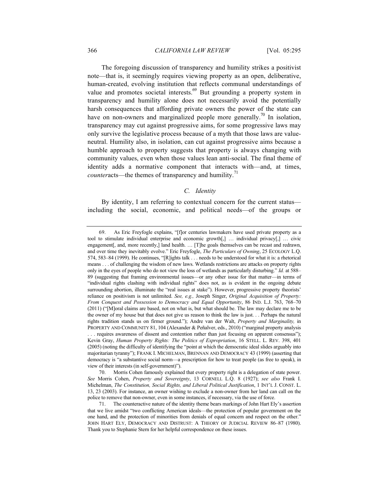The foregoing discussion of transparency and humility strikes a positivist note—that is, it seemingly requires viewing property as an open, deliberative, human-created, evolving institution that reflects communal understandings of value and promotes societal interests.<sup>69</sup> But grounding a property system in transparency and humility alone does not necessarily avoid the potentially harsh consequences that affording private owners the power of the state can have on non-owners and marginalized people more generally.<sup>70</sup> In isolation, transparency may cut against progressive aims, for some progressive laws may only survive the legislative process because of a myth that those laws are valueneutral. Humility also, in isolation, can cut against progressive aims because a humble approach to property suggests that property is always changing with community values, even when those values lean anti-social. The final theme of identity adds a normative component that interacts with—and, at times, *counteracts—the themes of transparency and humility.*<sup>71</sup>

### *C. Identity*

By identity, I am referring to contextual concern for the current status including the social, economic, and political needs—of the groups or

view of their interests (in self-government)").

70. Morris Cohen famously explained that every property right is a delegation of state power. *See* Morris Cohen, *Property and Sovereignty*, 13 CORNELL L.Q. 8 (1927); *see also* Frank I. Michelman, *The Constitution, Social Rights, and Liberal Political Justification*, 1 INT'L J. CONST. L. 13, 23 (2003). For instance, an owner wishing to exclude a non-owner from her land can call on the police to remove that non-owner, even in some instances, if necessary, via the use of force.

<sup>69.</sup> As Eric Freyfogle explains, "[f]or centuries lawmakers have used private property as a tool to stimulate individual enterprise and economic growth[,] … individual privacy[,] … civic engagement, and, more recently, and health. ... [T]he goals themselves can be recast and redrawn, and over time they inevitably evolve." Eric Freyfogle, *The Particulars of Owning*, 25 ECOLOGY L.Q. 574, 583–84 (1999). He continues, "[R]ights talk . . . needs to be understood for what it is: a rhetorical means . . . of challenging the wisdom of new laws. Wetlands restrictions are attacks on property rights only in the eyes of people who do not view the loss of wetlands as particularly disturbing." *Id.* at 588– 89 (suggesting that framing environmental issues—or any other issue for that matter—in terms of "individual rights clashing with individual rights" does not, as is evident in the ongoing debate surrounding abortion, illuminate the "real issues at stake"). However, progressive property theorists' reliance on positivism is not unlimited. *See, e.g.,* Joseph Singer, *Original Acquisition of Property: From Conquest and Possession to Democracy and Equal Opportunity*, 86 IND. L.J. 763, 768–70 (2011) ("[M]oral claims are based, not on what is, but what should be. The law may declare me to be the owner of my house but that does not give us reason to think the law is just. . . Perhaps the natural rights tradition stands us on firmer ground."); Andre van der Walt, *Property and Marginality,* in PROPERTY AND COMMUNITY 81, 104 (Alexander & Peñalver, eds., 2010) ("marginal property analysis . . . requires awareness of dissent and contention rather than just focusing on apparent consensus"); Kevin Gray, *Human Property Rights: The Politics of Expropriation*, 16 STELL. L. REV. 398, 401 (2005) (noting the difficulty of identifying the "point at which the democratic ideal slides arguably into majoritarian tyranny"); FRANK I. MICHELMAN, BRENNAN AND DEMOCRACY 43 (1999) (asserting that democracy is "a substantive social norm—a prescription for how to treat people (as free to speak), in

<sup>71.</sup> The counteractive nature of the identity theme bears markings of John Hart Ely's assertion that we live amidst "two conflicting American ideals—the protection of popular government on the one hand, and the protection of minorities from denials of equal concern and respect on the other." JOHN HART ELY, DEMOCRACY AND DISTRUST: A THEORY OF JUDICIAL REVIEW 86–87 (1980). Thank you to Stephanie Stern for her helpful correspondence on these issues.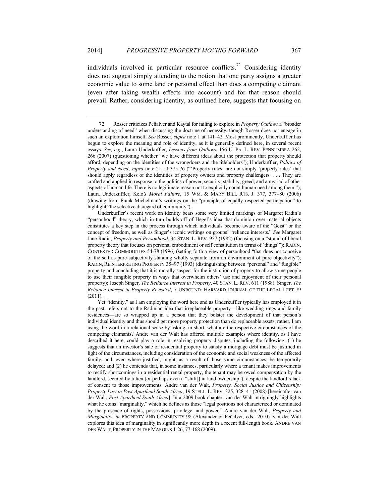individuals involved in particular resource conflicts.<sup>72</sup> Considering identity does not suggest simply attending to the notion that one party assigns a greater economic value to some land or personal effect than does a competing claimant (even after taking wealth effects into account) and for that reason should prevail. Rather, considering identity, as outlined here, suggests that focusing on

Underkuffler's recent work on identity bears some very limited markings of Margaret Radin's "personhood" theory, which in turn builds off of Hegel's idea that dominion over material objects constitutes a key step in the process through which individuals become aware of the "Geist" or the concept of freedom, as well as Singer's iconic writings on groups' "reliance interests." *See* Margaret Jane Radin, *Property and Personhood*, 34 STAN. L. REV. 957 (1982) (focusing on a "strand of liberal property theory that focuses on personal embodiment or self constitution in terms of 'things'"); RADIN, CONTESTED COMMODITIES 54-78 (1996) (setting forth a view of personhood "that does not conceive of the self as pure subjectivity standing wholly separate from an environment of pure objectivity"); RADIN, REINTERPRETING PROPERTY 35–97 (1993) (distinguishing between "personal" and "fungible" property and concluding that it is morally suspect for the institution of property to allow some people to use their fungible property in ways that overwhelm others' use and enjoyment of their personal property); Joseph Singer, *The Reliance Interest in Property*, 40 STAN. L. REV. 611 (1988); Singer, *The Reliance Interest in Property Revisited*, 7 UNBOUND: HARVARD JOURNAL OF THE LEGAL LEFT 79 (2011).

Yet "identity," as I am employing the word here and as Underkuffler typically has employed it in the past, refers not to the Radinian idea that irreplaceable property—like wedding rings and family residences—are so wrapped up in a person that they bolster the development of that person's individual identity and thus should get more property protection than do replaceable assets; rather, I am using the word in a relational sense by asking, in short, what are the respective circumstances of the competing claimants? Andre van der Walt has offered multiple examples where identity, as I have described it here, could play a role in resolving property disputes, including the following: (1) he suggests that an investor's sale of residential property to satisfy a mortgage debt must be justified in light of the circumstances, including consideration of the economic and social weakness of the affected family, and, even where justified, might, as a result of those same circumstances, be temporarily delayed; and (2) he contends that, in some instances, particularly where a tenant makes improvements to rectify shortcomings in a residential rental property, the tenant may be owed compensation by the landlord, secured by a lien (or perhaps even a "shift[] in land ownership"), despite the landlord's lack of consent to those improvements. Andre van der Walt, *Property, Social Justice and Citizenship: Property Law in Post-Apartheid South Africa*, 19 STELL. L. REV. 325, 328–41 (2008) [hereinafter van der Walt, *Post-Apartheid South Africa*]. In a 2009 book chapter, van der Walt intriguingly highlights what he coins "marginality," which he defines as those "legal positions not characterized or dominated by the presence of rights, possessions, privilege, and power." Andre van der Walt, *Property and Marginality*, *in* PROPERTY AND COMMUNITY 98 (Alexander & Peñalver*,* eds., 2010). van der Walt explores this idea of marginality in significantly more depth in a recent full-length book. ANDRE VAN DER WALT, PROPERTY IN THE MARGINS 1-26, 77-168 (2009).

<sup>72.</sup> Rosser criticizes Peñalver and Kaytal for failing to explore in *Property Outlaws* a "broader understanding of need" when discussing the doctrine of necessity, though Rosser does not engage in such an exploration himself. *See* Rosser, *supra* note 1 at 141–42. Most prominently, Underkuffler has begun to explore the meaning and role of identity, as it is generally defined here, in several recent essays. *See, e.g.*, Laura Underkuffler, *Lessons from Outlaws*, 156 U. PA. L. REV. PENNUMBRA 262, 266 (2007) (questioning whether "we have different ideas about the protection that property should afford, depending on the identities of the wrongdoers and the titleholders"); Underkuffler, *Politics of Property and Need*, *supra* note 21, at 375-76 ("'Property rules' are not simply 'property rules' that should apply regardless of the identities of property owners and property challengers. . . . They are crafted and applied in response to the politics of power, security, stability, greed, and a myriad of other aspects of human life. There is no legitimate reason not to explicitly count human need among them."); Laura Underkuffler, Kelo*'s Moral Failure*, 15 WM. & MARY BILL RTS. J. 377, 377–80 (2006) (drawing from Frank Michelman's writings on the "principle of equally respected participation" to highlight "the selective disregard of community").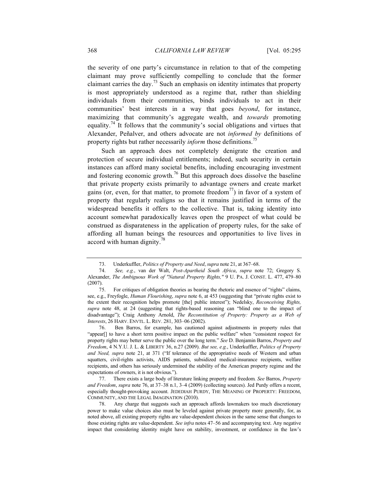the severity of one party's circumstance in relation to that of the competing claimant may prove sufficiently compelling to conclude that the former claimant carries the day.<sup>73</sup> Such an emphasis on identity intimates that property is most appropriately understood as a regime that, rather than shielding individuals from their communities, binds individuals to act in their communities' best interests in a way that goes *beyond*, for instance, maximizing that community's aggregate wealth, and *towards* promoting equality.<sup>74</sup> It follows that the community's social obligations and virtues that Alexander, Peñalver, and others advocate are not *informed by* definitions of property rights but rather necessarily *inform* those definitions.<sup>75</sup>

Such an approach does not completely denigrate the creation and protection of secure individual entitlements; indeed, such security in certain instances can afford many societal benefits, including encouraging investment and fostering economic growth.<sup>76</sup> But this approach does dissolve the baseline that private property exists primarily to advantage owners and create market gains (or, even, for that matter, to promote freedom<sup>77</sup>) in favor of a system of property that regularly realigns so that it remains justified in terms of the widespread benefits it offers to the collective. That is, taking identity into account somewhat paradoxically leaves open the prospect of what could be construed as disparateness in the application of property rules, for the sake of affording all human beings the resources and opportunities to live lives in accord with human dignity.<sup>78</sup>

<sup>73.</sup> Underkuffler, *Politics of Property and Need*, *supra* note 21, at 367–68.

<sup>74.</sup> *See, e.g.*, van der Walt, *Post-Apartheid South Africa*, *supra* note 72; Gregory S. Alexander, *The Ambiguous Work of "Natural Property Rights,"* 9 U. PA. J. CONST. L. 477, 479–80 (2007).

<sup>75.</sup> For critiques of obligation theories as bearing the rhetoric and essence of "rights" claims, see, e.g., Freyfogle, *Human Flourishing*, *supra* note 6, at 453 (suggesting that "private rights exist to the extent their recognition helps promote [the] public interest"); Nedelsky, *Reconceiving Rights, supra* note 48, at 24 (suggesting that rights-based reasoning can "blind one to the impact of disadvantage"); Craig Anthony Arnold, *The Reconstitution of Property: Property as a Web of Interests*, 26 HARV. ENVTL. L. REV. 281, 303–06 (2002).

<sup>76.</sup> Ben Barros, for example, has cautioned against adjustments in property rules that "appear[] to have a short term positive impact on the public welfare" when "consistent respect for property rights may better serve the public over the long term." *See* D. Benjamin Barros, *Property and Freedom*, 4 N.Y.U. J. L. & LIBERTY 36, n.27 (2009). *But see, e.g.*, Underkuffler, *Politics of Property and Need, supra* note 21, at 371 ("If tolerance of the appropriative needs of Western and urban squatters, civil-rights activists, AIDS patients, subsidized medical-insurance recipients, welfare recipients, and others has seriously undermined the stability of the American property regime and the expectations of owners, it is not obvious.").

<sup>77.</sup> There exists a large body of literature linking property and freedom*. See* Barros, *Property and Freedom*, *supra* note 76, at 37–38 n.1, 3–4 (2009) (collecting sources). Jed Purdy offers a recent, especially thought-provoking account. JEDEDIAH PURDY, THE MEANING OF PROPERTY: FREEDOM, COMMUNITY, AND THE LEGAL IMAGINATION (2010).

<sup>78.</sup> Any charge that suggests such an approach affords lawmakers too much discretionary power to make value choices also must be leveled against private property more generally, for, as noted above, all existing property rights are value-dependent choices in the same sense that changes to those existing rights are value-dependent. *See infra* notes 47–56 and accompanying text. Any negative impact that considering identity might have on stability, investment, or confidence in the law's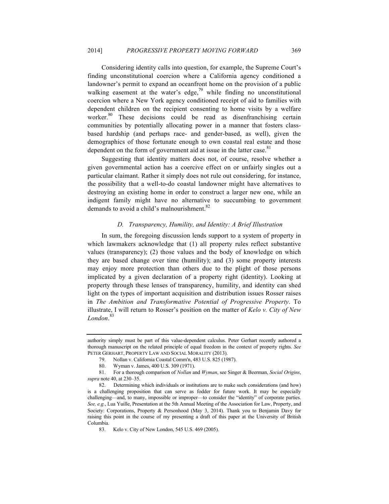Considering identity calls into question, for example, the Supreme Court's finding unconstitutional coercion where a California agency conditioned a landowner's permit to expand an oceanfront home on the provision of a public walking easement at the water's edge, $79$  while finding no unconstitutional coercion where a New York agency conditioned receipt of aid to families with dependent children on the recipient consenting to home visits by a welfare worker.<sup>80</sup> These decisions could be read as disenfranchising certain communities by potentially allocating power in a manner that fosters classbased hardship (and perhaps race- and gender-based, as well), given the demographics of those fortunate enough to own coastal real estate and those dependent on the form of government aid at issue in the latter case.<sup>81</sup>

Suggesting that identity matters does not, of course, resolve whether a given governmental action has a coercive effect on or unfairly singles out a particular claimant. Rather it simply does not rule out considering, for instance, the possibility that a well-to-do coastal landowner might have alternatives to destroying an existing home in order to construct a larger new one, while an indigent family might have no alternative to succumbing to government demands to avoid a child's malnourishment. $82$ 

#### *D. Transparency, Humility, and Identity: A Brief Illustration*

In sum, the foregoing discussion lends support to a system of property in which lawmakers acknowledge that (1) all property rules reflect substantive values (transparency); (2) those values and the body of knowledge on which they are based change over time (humility); and (3) some property interests may enjoy more protection than others due to the plight of those persons implicated by a given declaration of a property right (identity). Looking at property through these lenses of transparency, humility, and identity can shed light on the types of important acquisition and distribution issues Rosser raises in *The Ambition and Transformative Potential of Progressive Property*. To illustrate, I will return to Rosser's position on the matter of *Kelo v. City of New London*. 83

authority simply must be part of this value-dependent calculus. Peter Gerhart recently authored a thorough manuscript on the related principle of equal freedom in the context of property rights. *See*  PETER GERHART, PROPERTY LAW AND SOCIAL MORALITY (2013).

<sup>79.</sup> Nollan v. California Coastal Comm'n, 483 U.S. 825 (1987).

<sup>80.</sup> Wyman v. James, 400 U.S. 309 (1971).

<sup>81.</sup> For a thorough comparison of *Nollan* and *Wyman*, see Singer & Beerman, *Social Origins*, *supra* note 40, at 230–35.

<sup>82.</sup> Determining which individuals or institutions are to make such considerations (and how) is a challenging proposition that can serve as fodder for future work. It may be especially challenging—and, to many, impossible or improper—to consider the "identity" of corporate parties. *See, e.g.*, Lua Yuille, Presentation at the 5th Annual Meeting of the Association for Law, Property, and Society: Corporations, Property & Personhood (May 3, 2014). Thank you to Benjamin Davy for raising this point in the course of my presenting a draft of this paper at the University of British Columbia.

<sup>83.</sup> Kelo v. City of New London, 545 U.S. 469 (2005).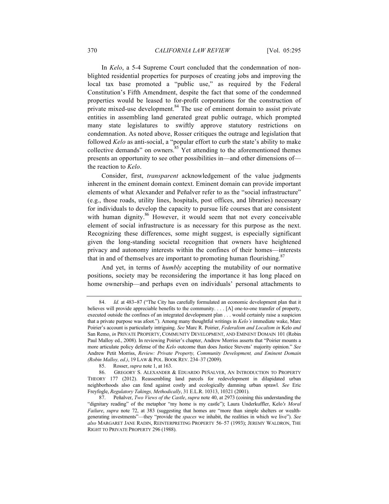In *Kelo*, a 5-4 Supreme Court concluded that the condemnation of nonblighted residential properties for purposes of creating jobs and improving the local tax base promoted a "public use," as required by the Federal Constitution's Fifth Amendment, despite the fact that some of the condemned properties would be leased to for-profit corporations for the construction of private mixed-use development.<sup>84</sup> The use of eminent domain to assist private entities in assembling land generated great public outrage, which prompted many state legislatures to swiftly approve statutory restrictions on condemnation. As noted above, Rosser critiques the outrage and legislation that followed *Kelo* as anti-social, a "popular effort to curb the state's ability to make collective demands" on owners. $85$  Yet attending to the aforementioned themes presents an opportunity to see other possibilities in—and other dimensions of the reaction to *Kelo*.

Consider, first, *transparent* acknowledgement of the value judgments inherent in the eminent domain context. Eminent domain can provide important elements of what Alexander and Peñalver refer to as the "social infrastructure" (e.g., those roads, utility lines, hospitals, post offices, and libraries) necessary for individuals to develop the capacity to pursue life courses that are consistent with human dignity.<sup>86</sup> However, it would seem that not every conceivable element of social infrastructure is as necessary for this purpose as the next. Recognizing these differences, some might suggest, is especially significant given the long-standing societal recognition that owners have heightened privacy and autonomy interests within the confines of their homes—interests that in and of themselves are important to promoting human flourishing.<sup>87</sup>

And yet, in terms of *humbly* accepting the mutability of our normative positions, society may be reconsidering the importance it has long placed on home ownership—and perhaps even on individuals' personal attachments to

<sup>84.</sup> *Id.* at 483–87 ("The City has carefully formulated an economic development plan that it believes will provide appreciable benefits to the community. . . . [A] one-to-one transfer of property, executed outside the confines of an integrated development plan . . . would certainly raise a suspicion that a private purpose was afoot."). Among many thoughtful writings in *Kelo's* immediate wake, Marc Poirier's account is particularly intriguing. *See* Marc R. Poirier, *Federalism and Localism in* Kelo *and*  San Remo, *in* PRIVATE PROPERTY, COMMUNITY DEVELOPMENT, AND EMINENT DOMAIN 101 (Robin Paul Malloy ed., 2008). In reviewing Poirier's chapter, Andrew Morriss asserts that "Poirier mounts a more articulate policy defense of the *Kelo* outcome than does Justice Stevens' majority opinion." *See*  Andrew Petit Morriss, *Review: Private Property, Community Development, and Eminent Domain (Robin Malloy, ed.)*, 19 LAW & POL. BOOK REV. 234–37 (2009).

<sup>85.</sup> Rosser, *supra* note 1, at 163.

<sup>86.</sup> GREGORY S. ALEXANDER & EDUARDO PEÑALVER, AN INTRODUCTION TO PROPERTY THEORY 177 (2012). Reassembling land parcels for redevelopment in dilapidated urban neighborhoods also can fend against costly and ecologically damning urban sprawl. *See* Eric Freyfogle, *Regulatory Takings, Methodically*, 31 E.L.R. 10313, 10321 (2001).

<sup>87.</sup> Peñalver, *Two Views of the Castle*, *supra* note 40, at 2973 (coining this understanding the "dignitary reading" of the metaphor "my home is my castle"); Laura Underkuffler, Kelo*'s Moral Failure*, *supra* note 72, at 383 (suggesting that homes are "more than simple shelters or wealthgenerating investments"—they "provide the *spaces* we inhabit, the realities in which we live"). *See also* MARGARET JANE RADIN, REINTERPRETING PROPERTY 56–57 (1993); JEREMY WALDRON, THE RIGHT TO PRIVATE PROPERTY 296 (1988).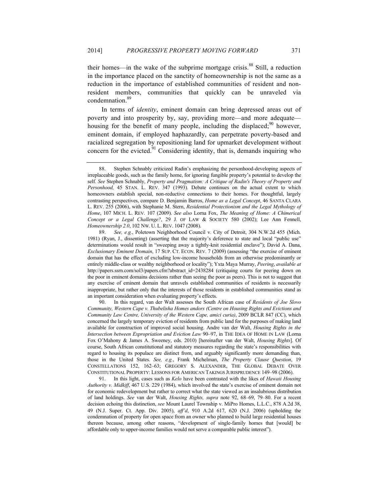their homes—in the wake of the subprime mortgage crisis. $88$  Still, a reduction in the importance placed on the sanctity of homeownership is not the same as a reduction in the importance of established communities of resident and nonresident members, communities that quickly can be unraveled via condemnation.<sup>89</sup>

In terms of *identity*, eminent domain can bring depressed areas out of poverty and into prosperity by, say, providing more—and more adequate housing for the benefit of many people, including the displaced; $90$  however, eminent domain, if employed haphazardly, can perpetrate poverty-based and racialized segregation by repositioning land for upmarket development without concern for the evicted. $91$  Considering identity, that is, demands inquiring who

89. *See, e.g.*, Poletown Neighborhood Council v. City of Detroit, 304 N.W.2d 455 (Mich. 1981) (Ryan, J., dissenting) (asserting that the majority's deference to state and local "public use" determinations would result in "sweeping away a tightly-knit residential enclave"); David A. Dana, *Exclusionary Eminent Domain*, 17 SUP. CT. ECON. REV. 7 (2009) (assessing "the exercise of eminent domain that has the effect of excluding low-income households from an otherwise predominantly or entirely middle-class or wealthy neighborhood or locality"); Yxta Maya Murray, *Peering*, *available at* http://papers.ssrn.com/sol3/papers.cfm?abstract\_id=2438284 (critiquing courts for peering down on the poor in eminent domains decisions rather than seeing the poor as peers). This is not to suggest that any exercise of eminent domain that unravels established communities of residents is necessarily inappropriate, but rather only that the interests of those residents in established communities stand as an important consideration when evaluating property's effects.

90. In this regard, van der Walt assesses the South African case of *Residents of Joe Slovo Community, Western Cape v. Thubelisha Homes andors (Centre on Housing Rights and Evictions and Community Law Centre, University of the Western Cape, amici curia)*, 2009 BCLR 847 (CC), which concerned the largely temporary eviction of residents from public land for the purposes of making land available for construction of improved social housing. Andre van der Walt, *Housing Rights in the Intersection between Expropriation and Eviction Law* 90–97, in THE IDEA OF HOME IN LAW (Lorna Fox O'Mahony & James A. Sweeney, eds. 2010) [hereinafter van der Walt, *Housing Rights*]. Of course, South African constitutional and statutory measures regarding the state's responsibilities with regard to housing its populace are distinct from, and arguably significantly more demanding than, those in the United States. *See, e.g.*, Frank Michelman, *The Property Clause Question*, 19 CONSTELLATIONS 152, 162–63; GREGORY S. ALEXANDER, THE GLOBAL DEBATE OVER CONSTITUTIONAL PROPERTY: LESSONS FOR AMERICAN TAKINGS JURISPRUDENCE 149–98 (2006).

91. In this light, cases such as *Kelo* have been contrasted with the likes of *Hawaii Housing Authority v. Midkiff*, 467 U.S. 229 (1984), which involved the state's exercise of eminent domain not for economic redevelopment but rather to correct what the state viewed as an insalubrious distribution of land holdings. *See* van der Walt, *Housing Rights, supra* note 92, 68–69, 79–80. For a recent decision echoing this distinction, *see* Mount Laurel Township v. MiPro Homes, L.L.C., 878 A.2d 38, 49 (N.J. Super. Ct. App. Div. 2005), *aff'd*, 910 A.2d 617, 620 (N.J. 2006) (upholding the condemnation of property for open space from an owner who planned to build large residential houses thereon because, among other reasons, "development of single-family homes that [would] be affordable only to upper-income families would not serve a comparable public interest").

<sup>88.</sup> Stephen Schnably criticized Radin's emphasizing the personhood-developing aspects of irreplaceable goods, such as the family home, for ignoring fungible property's potential to develop the self. *See* Stephen Schnably, *Property and Pragmatism: A Critique of Radin's Theory of Property and Personhood,* 45 STAN. L. REV. 347 (1993). Debate continues on the actual extent to which homeowners establish special, non-reductive connections to their homes. For thoughtful, largely contrasting perspectives, compare D. Benjamin Barros, *Home as a Legal Concept*, 46 SANTA CLARA L. REV. 255 (2006), with Stephanie M. Stern, *Residential Protectionism and the Legal Mythology of Home*, 107 MICH. L. REV. 107 (2009). *See also* Lorna Fox, *The Meaning of Home: A Chimerical Concept or a Legal Challenge?*, 29 J. OF LAW & SOCIETY 580 (2002); Lee Ann Fennell, *Homeownership 2.0*, 102 NW. U. L. REV. 1047 (2008).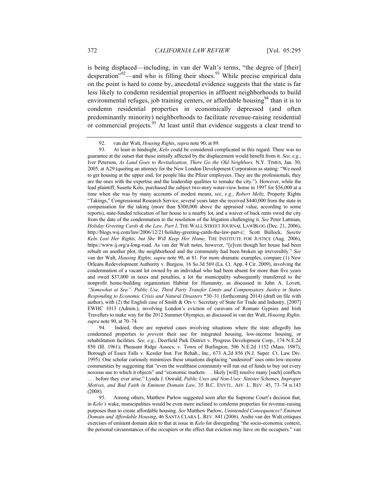is being displaced—including, in van der Walt's terms, "the degree of [their] desperation<sup>"92</sup>—and who is filling their shoes.<sup>93</sup> While precise empirical data on the point is hard to come by, anecdotal evidence suggests that the state is far less likely to condemn residential properties in affluent neighborhoods to build environmental refuges, job training centers, or affordable housing $94$  than it is to condemn residential properties in economically depressed (and often predominantly minority) neighborhoods to facilitate revenue-raising residential or commercial projects.<sup>95</sup> At least until that evidence suggests a clear trend to

94. Indeed, there are reported cases involving situations where the state allegedly has condemned properties to *prevent* their use for integrated housing, low-income housing, or rehabilitation facilities. *See, e.g.*, Deerfield Park District v. Progress Development Corp., 174 N.E.2d 850 (Ill. 1961); Pheasant Ridge Assocs. v. Town of Burlington, 506 N.E.2d 1152 (Mass. 1987); Borough of Essex Falls v. Kessler Inst. For Rehab., Inc., 673 A.2d 856 (N.J. Super. Ct. Law Div. 1995). One scholar curiously minimizes these situations displacing "undesired" uses onto low-income communities by suggesting that "even the wealthiest community will run out of funds to buy out every noxious use to which it objects" and "economic markets . . . likely [will] resolve many [such] conflicts . . . before they ever arise." Lynda J. Oswald, *Public Uses and Non-Uses: Sinister Schemes, Improper* 

*Motives, and Bad Faith in Eminent Domain Law,* 35 B.C. ENVTL. AFF. L. REV. 45, 73–74 n.143 (2008).

95. Among others, Matthew Parlow suggested soon after the Supreme Court's decision that, in *Kelo's* wake, municipalities would be even more inclined to condemn properties for revenue-raising purposes than to create affordable housing. *See* Matthew Parlow, *Unintended Consequences? Eminent Domain and Affordable Housing*, 46 SANTA CLARA L. REV. 841 (2006). Andre van der Walt critiques exercises of eminent domain akin to that at issue in *Kelo* for disregarding "the socio-economic context, the personal circumstances of the occupiers or the effect that eviction may have on the occupiers." van

<sup>92.</sup> van der Walt, *Housing Rights*, *supra* note 90, at 89.

<sup>93.</sup> At least in hindsight, *Kelo* could be considered complicated in this regard. There was no guarantee at the outset that those initially affected by the displacement would benefit from it. *See, e.g.*, Iver Peterson, *As Land Goes to Revitalization, There Go the Old Neighbors,* N.Y. TIMES, Jan. 30, 2005, at A29 (quoting an attorney for the New London Development Corporation as stating: "We need to get housing at the upper end, for people like the Pfizer employees. They are the professionals, they are the ones with the expertise and the leadership qualities to remake the city."). However, while the lead plaintiff, Susette Kelo, purchased the subject two-story water-view home in 1997 for \$56,000 at a time when she was by many accounts of modest means, *see*, *e.g.*, *Robert Meltz,* Property Rights "Takings," Congressional Research Service, several years later she received \$440,000 from the state in compensation for the taking (more than \$300,000 above the appraised value, according to some reports), state-funded relocation of her house to a nearby lot, and a waiver of back rents owed the city from the date of the condemnation to the resolution of the litigation challenging it. *See* Peter Lattman, *Holiday Greeting Cards & the Law, Part I*, THE WALL STREET JOURNAL LAWBLOG (Dec. 21, 2006), http://blogs.wsj.com/law/2006/12/21/holiday-greeting-cards-the-law-part-i/; Scott Bullock, *Susette Kelo Lost Her Rights, but She Will Keep Her Home,* THE INSTITUTE FOR JUSTICE (Aug. 2006), https://www.ij.org/a-long-road. As van der Walt notes, however, "[e]ven though her house had been rebuilt on another plot, the neighborhood and the community had been broken up irreversibly." *See*  van der Walt, *Housing Rights, supra* note 90, at 81. For more dramatic examples, compare (1) New Orleans Redevelopment Authority v. Burgess*,* 16 So.3d 569 (La. Ct. App. 4 Cir. 2009), involving the condemnation of a vacant lot owned by an individual who had been absent for more than five years and owed \$37,000 in taxes and penalties, a lot the municipality subsequently transferred to the nonprofit home-building organization Habitat for Humanity, as discussed in John A. Lovett, *"Somewhat at Sea": Public Use, Third Party Transfer Limits and Compensatory Justice in States Responding to Economic Crisis and Natural Disasters* \*30–31 (forthcoming 2014) (draft on file with author), with (2) the English case of Smith & Ors v. Secretary of State for Trade and Industry, [2007] EWHC 1013 (Admin.), involving London's eviction of caravans of Romani Gypsies and Irish Travellers to make way for the 2012 Summer Olympics, as discussed in van der Walt, *Housing Rights, supra* note 90, at 70–74.